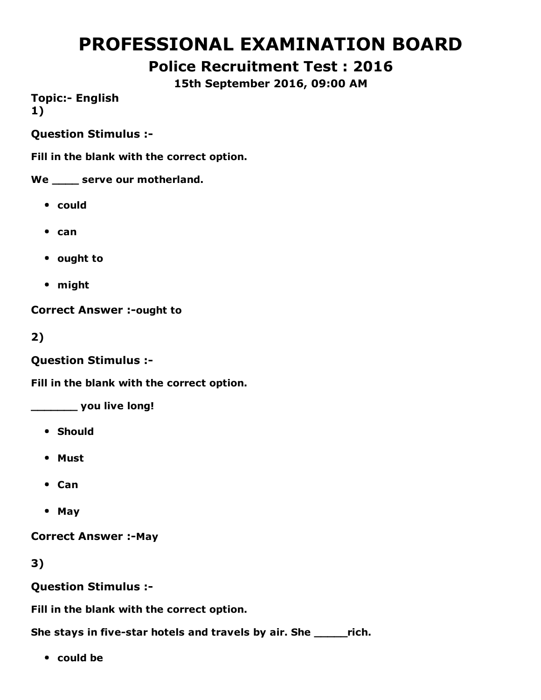# PROFESSIONAL EXAMINATION BOARD

## Police Recruitment Test : 2016

15th September 2016, 09:00 AM

**Topic:- English** 1)

Question Stimulus :

Fill in the blank with the correct option.

We \_\_\_\_\_ serve our motherland.

- could
- $\bullet$  can
- ought to
- might

**Correct Answer :- ought to** 

2)

Question Stimulus :

Fill in the blank with the correct option.

\_\_\_\_\_\_\_ you live long!

- Should
- Must
- Can
- May

**Correct Answer :-May** 

3)

Question Stimulus :

Fill in the blank with the correct option.

She stays in five-star hotels and travels by air. She \_\_\_\_\_\_rich.

• could be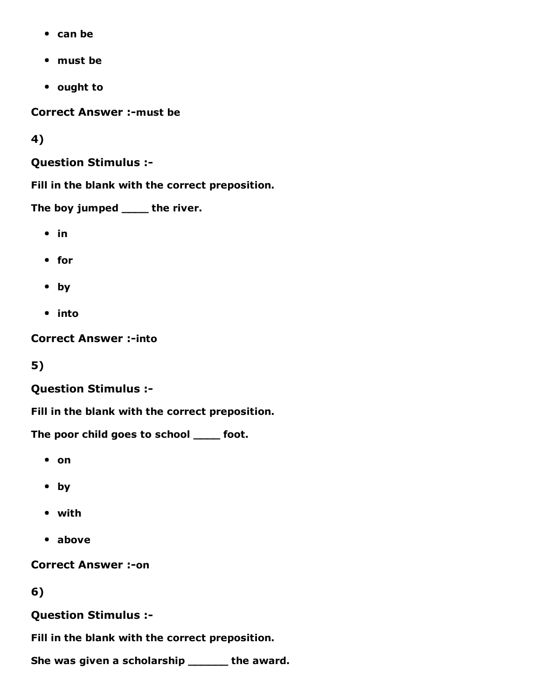- can be
- must be
- ought to

**Correct Answer :- must be** 

4)

Question Stimulus :

Fill in the blank with the correct preposition.

The boy jumped \_\_\_\_\_ the river.

- $\cdot$  in
- for
- by
- into

**Correct Answer :- into** 

5)

#### Question Stimulus :

Fill in the blank with the correct preposition.

The poor child goes to school \_\_\_\_ foot.

- on
- by
- with
- above

**Correct Answer :- on** 

6)

Question Stimulus :

Fill in the blank with the correct preposition.

She was given a scholarship \_\_\_\_\_\_ the award.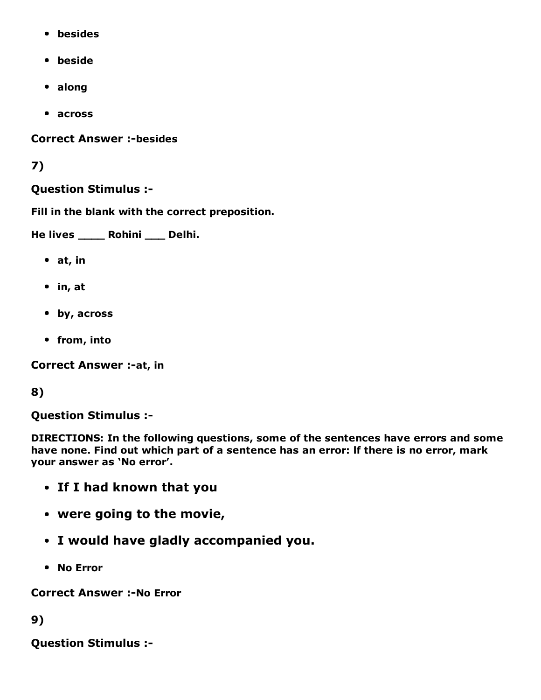- besides
- beside
- along
- across

**Correct Answer :-besides** 

### 7)

#### Question Stimulus :

Fill in the blank with the correct preposition.

He lives \_\_\_\_ Rohini \_\_\_ Delhi.

- at, in
- in, at
- by, across
- from, into

Correct Answer :- at, in

### 8)

Question Stimulus :

DIRECTIONS: In the following questions, some of the sentences have errors and some have none. Find out which part of a sentence has an error: lf there is no error, mark your answer as 'No error'.

- If I had known that you
- were going to the movie,
- I would have gladly accompanied you.
- No Error

**Correct Answer :-No Error** 

9)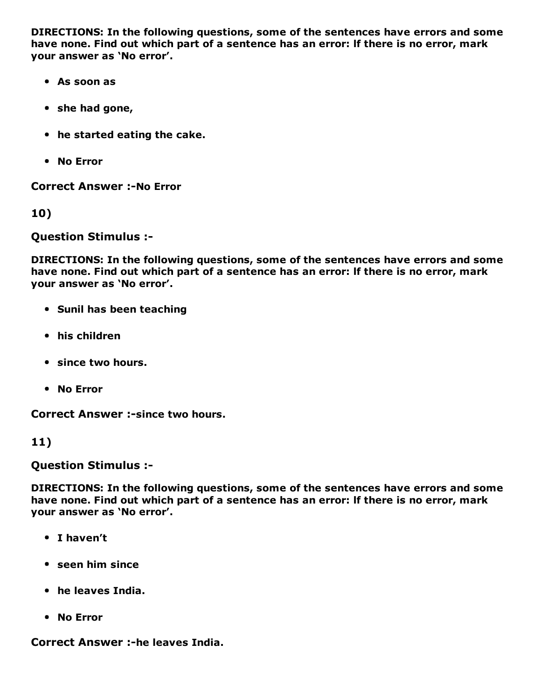DIRECTIONS: In the following questions, some of the sentences have errors and some have none. Find out which part of a sentence has an error: lf there is no error, mark your answer as 'No error'.

- As soon as
- she had gone,
- he started eating the cake.
- No Error

**Correct Answer :-No Error** 

10)

Question Stimulus :

DIRECTIONS: In the following questions, some of the sentences have errors and some have none. Find out which part of a sentence has an error: lf there is no error, mark your answer as 'No error'.

- **Sunil has been teaching**
- his children
- since two hours.
- No Error

Correct Answer :- since two hours.

#### 11)

Question Stimulus :

DIRECTIONS: In the following questions, some of the sentences have errors and some have none. Find out which part of a sentence has an error: lf there is no error, mark your answer as 'No error'.

- I haven't
- seen him since
- he leaves India.
- No Error

Correct Answer :-he leaves India.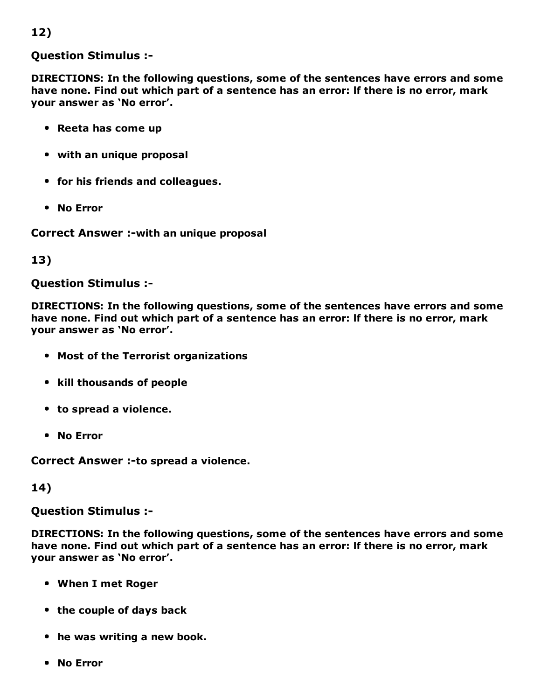### 12)

#### Question Stimulus :

DIRECTIONS: In the following questions, some of the sentences have errors and some have none. Find out which part of a sentence has an error: lf there is no error, mark your answer as 'No error'.

- Reeta has come up
- with an unique proposal
- for his friends and colleagues.
- No Error

Correct Answer :- with an unique proposal

#### 13)

#### Question Stimulus :

DIRECTIONS: In the following questions, some of the sentences have errors and some have none. Find out which part of a sentence has an error: lf there is no error, mark your answer as 'No error'.

- Most of the Terrorist organizations
- kill thousands of people
- to spread a violence.
- No Error

Correct Answer :- to spread a violence.

#### 14)

Question Stimulus :

DIRECTIONS: In the following questions, some of the sentences have errors and some have none. Find out which part of a sentence has an error: lf there is no error, mark your answer as 'No error'.

- When I met Roger
- the couple of days back
- he was writing a new book.
- No Error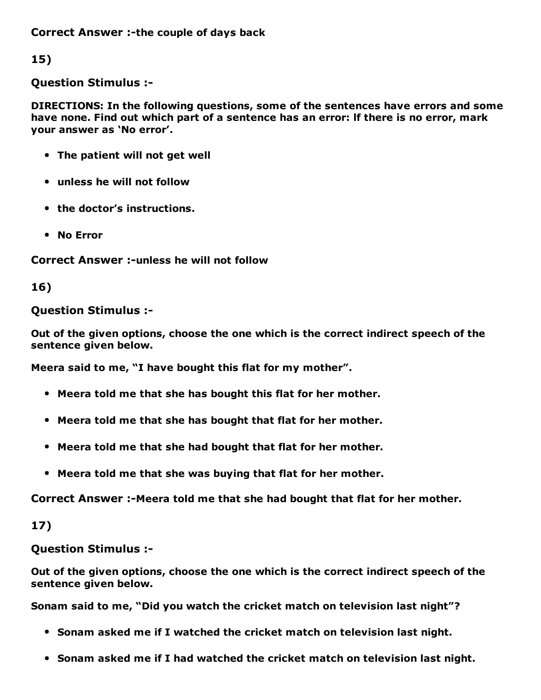Correct Answer :-the couple of days back

15)

Question Stimulus :

DIRECTIONS: In the following questions, some of the sentences have errors and some have none. Find out which part of a sentence has an error: lf there is no error, mark your answer as 'No error'.

- The patient will not get well
- unless he will not follow
- the doctor's instructions.
- No Error

Correct Answer :-unless he will not follow

16)

#### Question Stimulus :

Out of the given options, choose the one which is the correct indirect speech of the sentence given below.

Meera said to me, "I have bought this flat for my mother".

- Meera told me that she has bought this flat for her mother.
- Meera told me that she has bought that flat for her mother.
- Meera told me that she had bought that flat for her mother.
- Meera told me that she was buying that flat for her mother.

Correct Answer :-Meera told me that she had bought that flat for her mother.

17)

Question Stimulus :

Out of the given options, choose the one which is the correct indirect speech of the sentence given below.

Sonam said to me, "Did you watch the cricket match on television last night"?

- Sonam asked me if I watched the cricket match on television last night.
- Sonam asked me if I had watched the cricket match on television last night.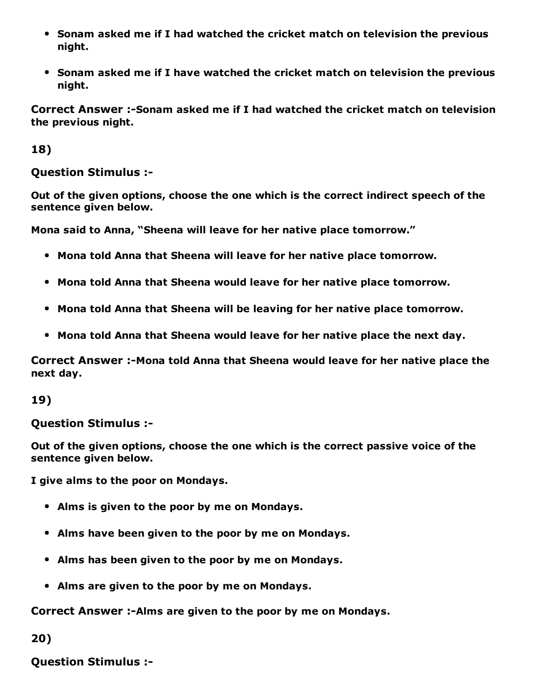- Sonam asked me if I had watched the cricket match on television the previous night.
- Sonam asked me if I have watched the cricket match on television the previous night.

Correct Answer :-Sonam asked me if I had watched the cricket match on television the previous night.

18)

#### Question Stimulus :

Out of the given options, choose the one which is the correct indirect speech of the sentence given below.

Mona said to Anna, "Sheena will leave for her native place tomorrow."

- Mona told Anna that Sheena will leave for her native place tomorrow.
- Mona told Anna that Sheena would leave for her native place tomorrow.
- Mona told Anna that Sheena will be leaving for her native place tomorrow.
- Mona told Anna that Sheena would leave for her native place the next day.

Correct Answer :-Mona told Anna that Sheena would leave for her native place the next day.

19)

Question Stimulus :

Out of the given options, choose the one which is the correct passive voice of the sentence given below.

I give alms to the poor on Mondays.

- Alms is given to the poor by me on Mondays.
- Alms have been given to the poor by me on Mondays.
- Alms has been given to the poor by me on Mondays.
- Alms are given to the poor by me on Mondays.

Correct Answer :-Alms are given to the poor by me on Mondays.

20)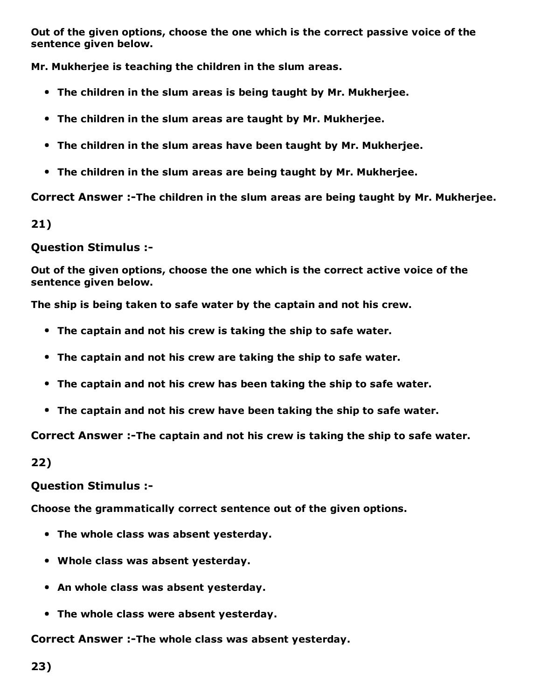Out of the given options, choose the one which is the correct passive voice of the sentence given below.

Mr. Mukherjee is teaching the children in the slum areas.

- The children in the slum areas is being taught by Mr. Mukherjee.
- The children in the slum areas are taught by Mr. Mukherjee.
- The children in the slum areas have been taught by Mr. Mukherjee.
- The children in the slum areas are being taught by Mr. Mukherjee.

Correct Answer :-The children in the slum areas are being taught by Mr. Mukherjee.

21)

#### Question Stimulus :

Out of the given options, choose the one which is the correct active voice of the sentence given below.

The ship is being taken to safe water by the captain and not his crew.

- The captain and not his crew is taking the ship to safe water.
- The captain and not his crew are taking the ship to safe water.
- The captain and not his crew has been taking the ship to safe water.
- The captain and not his crew have been taking the ship to safe water.

Correct Answer :-The captain and not his crew is taking the ship to safe water.

22)

#### Question Stimulus :

Choose the grammatically correct sentence out of the given options.

- The whole class was absent yesterday.
- Whole class was absent yesterday.
- An whole class was absent yesterday.
- The whole class were absent yesterday.

Correct Answer :-The whole class was absent yesterday.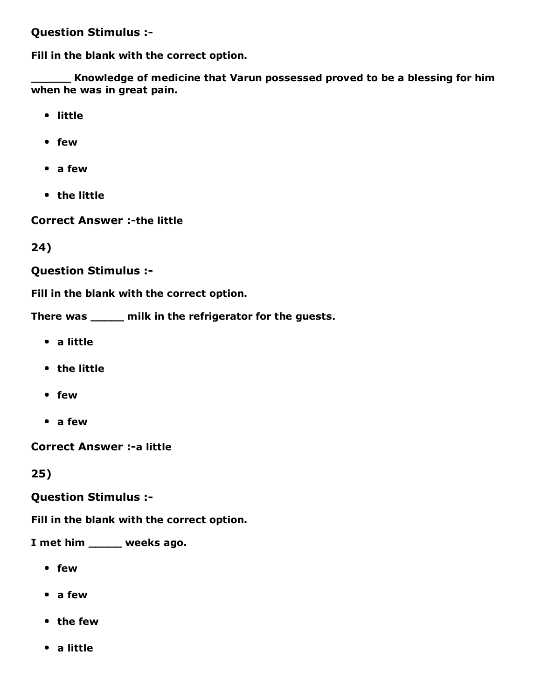#### Question Stimulus :

Fill in the blank with the correct option.

Knowledge of medicine that Varun possessed proved to be a blessing for him when he was in great pain.

- little
- few
- a few
- the little

**Correct Answer :-the little** 

24)

Question Stimulus :

Fill in the blank with the correct option.

There was \_\_\_\_\_ milk in the refrigerator for the guests.

- a little
- the little
- few
- a few

**Correct Answer :- a little** 

25)

Question Stimulus :

Fill in the blank with the correct option.

I met him \_\_\_\_\_ weeks ago.

- few
- a few
- the few
- a little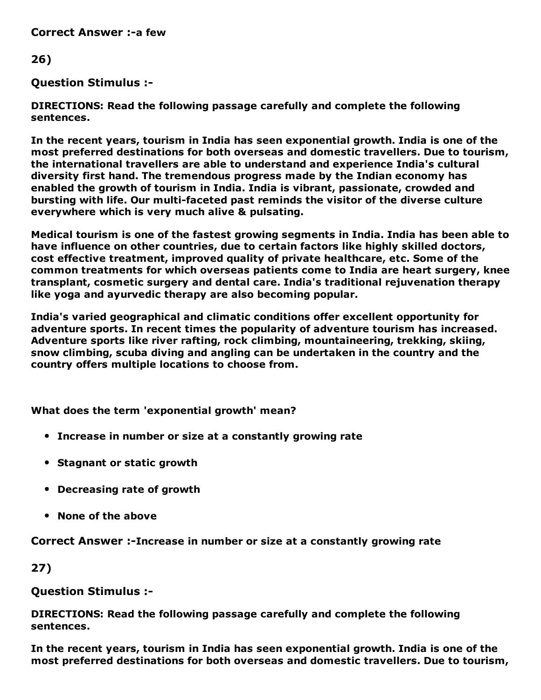**Correct Answer :-a few** 

#### 26)

#### Question Stimulus :

DIRECTIONS: Read the following passage carefully and complete the following sentences.

In the recent years, tourism in India has seen exponential growth. India is one of the most preferred destinations for both overseas and domestic travellers. Due to tourism, the international travellers are able to understand and experience India's cultural diversity first hand. The tremendous progress made by the Indian economy has enabled the growth of tourism in India. India is vibrant, passionate, crowded and bursting with life. Our multi-faceted past reminds the visitor of the diverse culture everywhere which is very much alive & pulsating.

Medical tourism is one of the fastest growing segments in India. India has been able to have influence on other countries, due to certain factors like highly skilled doctors, cost effective treatment, improved quality of private healthcare, etc. Some of the common treatments for which overseas patients come to India are heart surgery, knee transplant, cosmetic surgery and dental care. India's traditional rejuvenation therapy like yoga and ayurvedic therapy are also becoming popular.

India's varied geographical and climatic conditions offer excellent opportunity for adventure sports. In recent times the popularity of adventure tourism has increased. Adventure sports like river rafting, rock climbing, mountaineering, trekking, skiing, snow climbing, scuba diving and angling can be undertaken in the country and the country offers multiple locations to choose from.

What does the term 'exponential growth' mean?

- Increase in number or size at a constantly growing rate
- Stagnant or static growth
- Decreasing rate of growth
- None of the above

Correct Answer :-Increase in number or size at a constantly growing rate

27)

#### Question Stimulus :

DIRECTIONS: Read the following passage carefully and complete the following sentences.

In the recent years, tourism in India has seen exponential growth. India is one of the most preferred destinations for both overseas and domestic travellers. Due to tourism,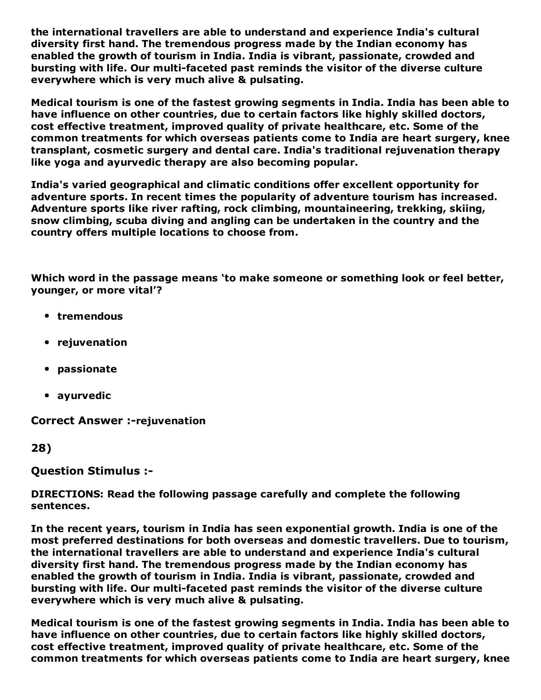the international travellers are able to understand and experience India's cultural diversity first hand. The tremendous progress made by the Indian economy has enabled the growth of tourism in India. India is vibrant, passionate, crowded and bursting with life. Our multi-faceted past reminds the visitor of the diverse culture everywhere which is very much alive & pulsating.

Medical tourism is one of the fastest growing segments in India. India has been able to have influence on other countries, due to certain factors like highly skilled doctors, cost effective treatment, improved quality of private healthcare, etc. Some of the common treatments for which overseas patients come to India are heart surgery, knee transplant, cosmetic surgery and dental care. India's traditional rejuvenation therapy like yoga and ayurvedic therapy are also becoming popular.

India's varied geographical and climatic conditions offer excellent opportunity for adventure sports. In recent times the popularity of adventure tourism has increased. Adventure sports like river rafting, rock climbing, mountaineering, trekking, skiing, snow climbing, scuba diving and angling can be undertaken in the country and the country offers multiple locations to choose from.

Which word in the passage means 'to make someone or something look or feel better, younger, or more vital'?

- tremendous
- rejuvenation
- passionate
- ayurvedic

**Correct Answer :-rejuvenation** 

28)

#### Question Stimulus :

#### DIRECTIONS: Read the following passage carefully and complete the following sentences.

In the recent years, tourism in India has seen exponential growth. India is one of the most preferred destinations for both overseas and domestic travellers. Due to tourism, the international travellers are able to understand and experience India's cultural diversity first hand. The tremendous progress made by the Indian economy has enabled the growth of tourism in India. India is vibrant, passionate, crowded and bursting with life. Our multi-faceted past reminds the visitor of the diverse culture everywhere which is very much alive & pulsating.

Medical tourism is one of the fastest growing segments in India. India has been able to have influence on other countries, due to certain factors like highly skilled doctors, cost effective treatment, improved quality of private healthcare, etc. Some of the common treatments for which overseas patients come to India are heart surgery, knee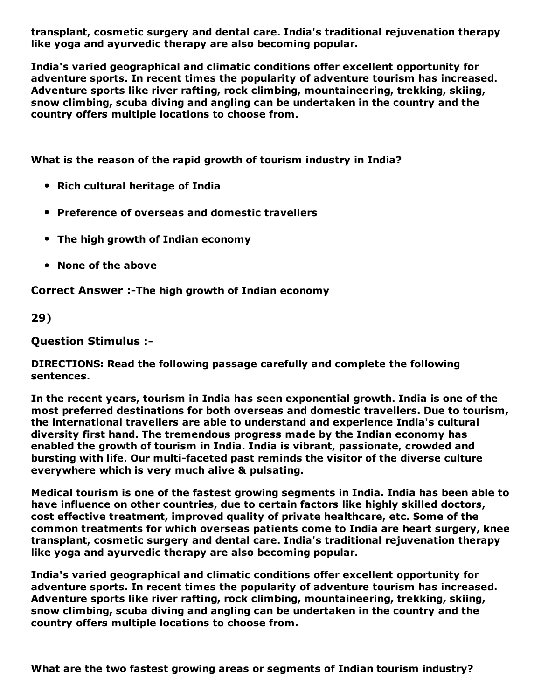transplant, cosmetic surgery and dental care. India's traditional rejuvenation therapy like yoga and ayurvedic therapy are also becoming popular.

India's varied geographical and climatic conditions offer excellent opportunity for adventure sports. In recent times the popularity of adventure tourism has increased. Adventure sports like river rafting, rock climbing, mountaineering, trekking, skiing, snow climbing, scuba diving and angling can be undertaken in the country and the country offers multiple locations to choose from.

What is the reason of the rapid growth of tourism industry in India?

- Rich cultural heritage of India
- Preference of overseas and domestic travellers
- The high growth of Indian economy
- None of the above

Correct Answer :-The high growth of Indian economy

29)

Question Stimulus :

DIRECTIONS: Read the following passage carefully and complete the following sentences.

In the recent years, tourism in India has seen exponential growth. India is one of the most preferred destinations for both overseas and domestic travellers. Due to tourism, the international travellers are able to understand and experience India's cultural diversity first hand. The tremendous progress made by the Indian economy has enabled the growth of tourism in India. India is vibrant, passionate, crowded and bursting with life. Our multi-faceted past reminds the visitor of the diverse culture everywhere which is very much alive & pulsating.

Medical tourism is one of the fastest growing segments in India. India has been able to have influence on other countries, due to certain factors like highly skilled doctors, cost effective treatment, improved quality of private healthcare, etc. Some of the common treatments for which overseas patients come to India are heart surgery, knee transplant, cosmetic surgery and dental care. India's traditional rejuvenation therapy like yoga and ayurvedic therapy are also becoming popular.

India's varied geographical and climatic conditions offer excellent opportunity for adventure sports. In recent times the popularity of adventure tourism has increased. Adventure sports like river rafting, rock climbing, mountaineering, trekking, skiing, snow climbing, scuba diving and angling can be undertaken in the country and the country offers multiple locations to choose from.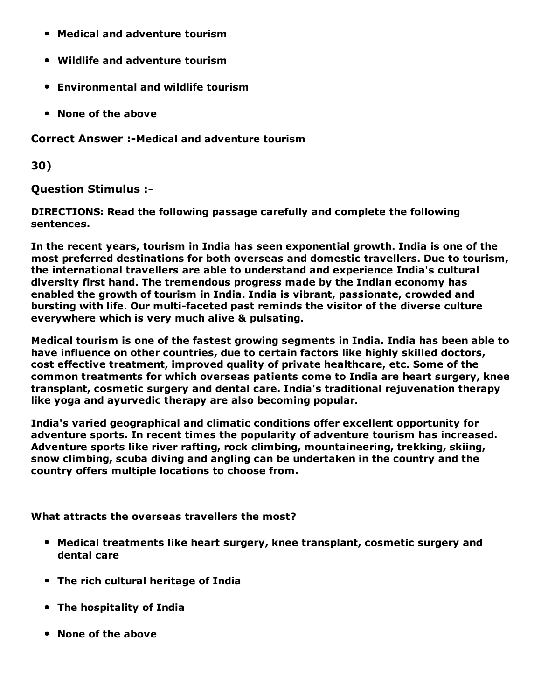- Medical and adventure tourism
- Wildlife and adventure tourism
- Environmental and wildlife tourism
- None of the above

**Correct Answer :-Medical and adventure tourism** 

30)

Question Stimulus :

DIRECTIONS: Read the following passage carefully and complete the following sentences.

In the recent years, tourism in India has seen exponential growth. India is one of the most preferred destinations for both overseas and domestic travellers. Due to tourism, the international travellers are able to understand and experience India's cultural diversity first hand. The tremendous progress made by the Indian economy has enabled the growth of tourism in India. India is vibrant, passionate, crowded and bursting with life. Our multi-faceted past reminds the visitor of the diverse culture everywhere which is very much alive & pulsating.

Medical tourism is one of the fastest growing segments in India. India has been able to have influence on other countries, due to certain factors like highly skilled doctors, cost effective treatment, improved quality of private healthcare, etc. Some of the common treatments for which overseas patients come to India are heart surgery, knee transplant, cosmetic surgery and dental care. India's traditional rejuvenation therapy like yoga and ayurvedic therapy are also becoming popular.

India's varied geographical and climatic conditions offer excellent opportunity for adventure sports. In recent times the popularity of adventure tourism has increased. Adventure sports like river rafting, rock climbing, mountaineering, trekking, skiing, snow climbing, scuba diving and angling can be undertaken in the country and the country offers multiple locations to choose from.

What attracts the overseas travellers the most?

- Medical treatments like heart surgery, knee transplant, cosmetic surgery and dental care
- The rich cultural heritage of India
- The hospitality of India
- None of the above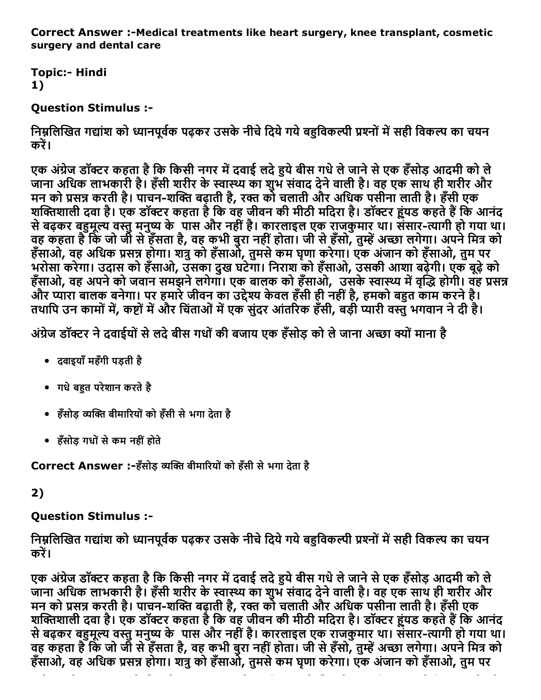Correct Answer :-Medical treatments like heart surgery, knee transplant, cosmetic surgery and dental care

**Topic:- Hindi** 1)

### Question Stimulus :

निम्नलिखित गद्यांश को ध्यानपूर्वक पढ़कर उसके नीचे दिये गये बहविकल्पी प्रश्नों में सही विकल्प का चयन करें।

एक अंग्रेज डॉक्टर कहता है कि किसी नगर में दवाई लदे हुये बीस गधे ले जाने से एक हँसोड़ आदमी को ले जाना अधिक लाभकारी है। हँसी शरीर के स्वास्थ्य का शुभ संवाद देने वाली है। वह एक साथ ही शरीर और मन को प्रसन्न करती है। पाचन-शक्ति बढ़ाती है, रक्त को चलाती और अधिक पर्सीना लाती है। हँसी एक शक्तिशाली दवा है। एक डॉक्टर कहता है कि वह जीवन की मीठी मदिरा है। डॉक्टर हूंयड कहते हैं कि आनंद से बढ़कर बहुमूल्य वस्तु मनुष्य के पास और नहीं है। कारलाइल एक राजकुमार था। संसार-त्यागी हो गया था। वह कहता है कि जो जी से हँसता है, वह कभी बुरा नहीं होता। जी से हँसो, तुम्हें अच्छा लगेगा। अपने मित्र को हँसाओ, वह अधिक प्रसन्न होगा। शत्रु को हँसाओं, तुमसे कम घृणा करेगा। एक अंजान को हँसाओ, तुम पर भरोसा करेगा। उदास को हँसाओ, उसका दुख घटेगा। िनराश को हँसाओ, उसकी आशा बढ़ेगी। एक बूढ़ेको हँसाओ, वह अपने को जवान समझने लगेगाँ। एक बालक को हँसाओ, उसके स्वास्थ्य में वृद्धि होगी। वह प्रसन्न और प्यारा बालक बनेगा। पर हमारे जीवन का उद्देश्य केवल हँसी ही नहीं है, हमको बहुत काम करने है। तथापि उन कामों में, कृष्टों में और चिंताओं में एक संदर आंतरिक हँसी, बड़ी प्यारी वस्त भगवान ने दी है।

अंग्रेज डॉक्टर ने दवाईयों से लदे बीस गधों की बजाय एक हँसोड़ को ले जाना अच्छा क्यों माना है

- दवाइयाँमहँगी पड़ती है
- गधे बहुत परेशान करते है
- हँसोड़ व्यक्ति बीमारियों को हँसी से भगा देता है
- हँसोड़ गधोंसेकम नहींहोते

Correct Answer :-हँसोड़ व्यक्ति बीमारियों को हँसी से भगा देता है

#### 2)

### Question Stimulus :

निम्नलिखित गद्यांश को ध्यानपूर्वक पढ़कर उसके नीचे दिये गये बहुविकल्पी प्रश्नों में सही विकल्प का चयन करें।

एक अंग्रेज डॉक्टर कहता है कि किसी नगर में दवाई लदे हुये बीस गधे ले जाने से एक हँसोड़ आदमी को ले जाना अधिक लाभकारी है। हँसी शरीर के स्वास्थ्य का शुभ संवाद देने वाली है। वह एक साथ ही शरीर और मन को प्रसन्न करती है। पाचन-शक्ति बढ़ाती है, रक्त को चलाती और अधिक पर्सीना लाती है। हँसी एक शक्तिशाली दवा है। एक डॉक्टर कहता है कि वह जीवन की मीठी मदिरा है। डॉक्टर हूंयड कहते हैं कि आनंद से बढ़कर बहुमूल्य वस्तु मनुष्य के पास और नहीं है। कारलाइल एक राजकुमार था। संसार-त्यागी हो गया था। वह कहता है कि जो जी से हँसता है, वह कभी बुरा नहीं होता। जी से हँसो, तुम्हें अच्छा लगेगा। अपने मित्र को हँसाओ, वह अधिक प्रसन्न होगा। शत्र को हँसाओं, तुमसे कम घुणा करेगा। एक अंजान को हँसाओ, तुम पर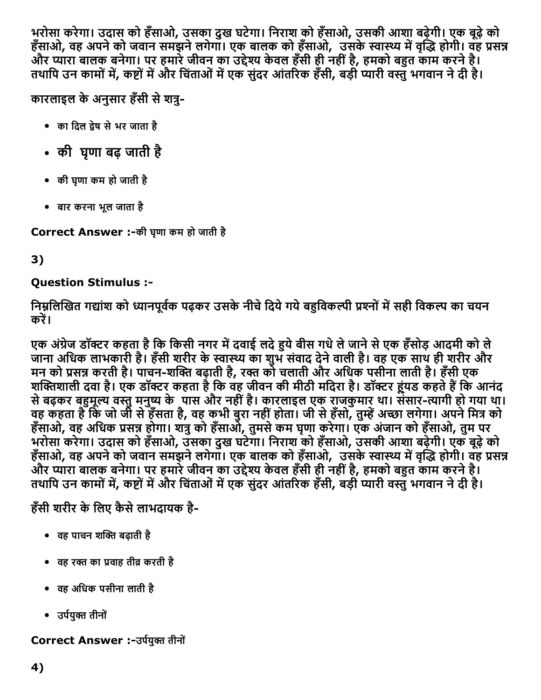भरोसा करेगा। उदास को हँसाओ, उसका दुख घटेगा। िनराश को हँसाओ, उसकी आशा बढ़ेगी। एक बूढ़ेको हँसाओ, वह अपने को जवान समझने लगेगाँ। एक बालक को हँसाओ, उसके स्वास्थ्य में वृद्धि होगी। वह प्रसन्न और प्यारा बालक बनेगा। पर हमारे जीवन का उद्देश्य केवल हँसी ही नहीं है, हमको बहुत काम करने है। तथापि उन कामों में, कष्टों में और चिंताओं में एक संदर आंतरिक हँसी, बड़ी प्यारी वस्तु भगवान ने दी है।

कारलाइल के अनुसार हँसी से शत्र-

- का दिल द्रेष से भर जाता है
- की घृणा बढ़ जाती है
- की घृणा कम हो जाती है
- बार करना भूल जाता है

Correct Answer :-की घृणा कम हो जाती है

## 3)

### Question Stimulus :

निम्नलिखित गद्यांश को ध्यानपूर्वक पढ़कर उसके नीचे दिये गये बहुविकल्पी प्रश्नों में सही विकल्प का चयन करें।

एक अंग्रेज डॉक्टर कहता है कि किसी नगर में दवाई लदे हुये बीस गधे ले जाने से एक हँसोड़ आदमी को ले जाना अधिक लाभकारी है। हँसी शरीर के स्वास्थ्य का शुभ संवाद देने वाली है। वह एक साथ ही शरीर और मन को प्रसन्न करती है। पाचन-शक्ति बढ़ाती है, रक्त को चलाती और अधिक पर्सीना लाती है। हँसी एक शक्तिशाली दवा है। एक डॉक्टर कहता है कि वह जीवन की मीठी मदिरा है। डॉक्टर हूंयड कहते हैं कि आनंद से बढ़कर बहुमूल्य वस्तु मनुष्य केपास और नहीं है। कारलाइल एक राजकुमार था। संसार-त्यागी हो गया था। वह कहता है कि जो जी से हँसता है, वह कभी बुरा नहीं होता। जी से हँसो, तुम्हें अच्छा लगेगा। अपने मित्र को हँसाओ, वह अधिक प्रसन्न होगा। शत्रु को हँसाओ, तुमसे कम घृणा करेगा। एक अंजान को हँसाओ, तुम पर भरोसा करेगा। उदास को हँसाओ, उसका दुख घटेगा। िनराश को हँसाओ, उसकी आशा बढ़ेगी। एक बूढ़ेको हँसाओ, वह अपने को जवान समझने लगेगाँ। एक बालक को हँसाओ, उसके स्वास्थ्य में वृद्धि होगी। वह प्रसन्न और प्यारा बालक बनेगा। पर हमारे जीवन का उद्देश्य केवल हँसी ही नहीं है, हमको बहुत काम करने है। तथापि उन कामों में, कष्टों में और चिंताओं में एक सुंदर आंतरिक हँसी, बड़ी प्यारी वस्तु भगवान ने दी है।

## हँसी शरीर के लिए कैसे लाभदायक है-

- वह पाचन शक्ति बढ़ाती है
- वह रक्त का प्रवाह तीव्र करती है
- वह अिधक पसीना लाती है
- उर्पयुक्त तीनों

### Correct Answer :-उर्पयुक्त तीनों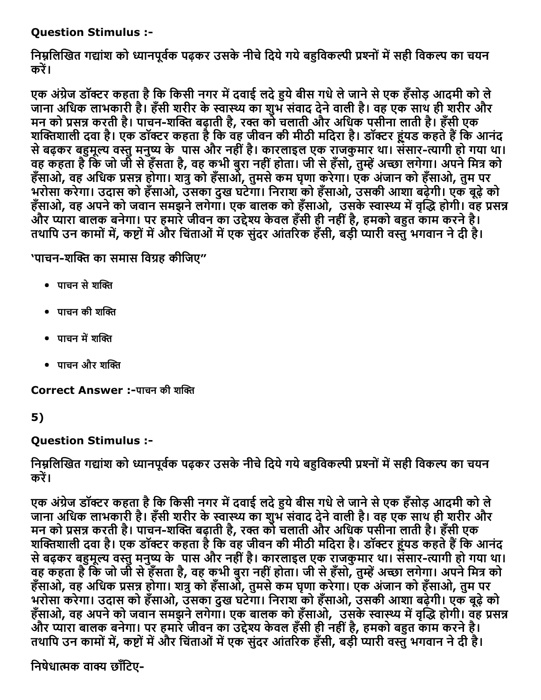### Question Stimulus :

निम्नलिखित गद्यांश को ध्यानपूर्वक पढ़कर उसके नीचे दिये गये बहुविकल्पी प्रश्नों में सही विकल्प का चयन करें।

एक अंग्रेज डॉक्टर कहता है कि किसी नगर में दवाई लदे हुये बीस गधे ले जाने से एक हँसोड़ आदमी को ले जाना अधिक लाभकारी है। हँसी शरीर के स्वास्थ्य का शुभ संवाद देने वाली है। वह एक साथ ही शरीर और मन को प्रसन्न करती है। पाचन-शक्ति बढ़ाती है, रक्त को चलाती और अधिक पर्सीना लाती है। हँसी एक शक्तिशाली दवा है। एक डॉक्टर कहता है कि वह जीवन की मीठी मदिरा है। डॉक्टर हूंयड कहते हैं कि आनंद से बढ़कर बहुमूल्य वस्तु मनुष्य के पास और नहीं है। कारलाइल एक राजकुमार था। संसार-त्यागी हो गया था। वह कहता है कि जो जी से हँसता है, वह कभी बुरा नहीं होता। जी से हँसो, तुम्हें अच्छा लगेगा। अपने मित्र को हँसाओ, वह अधिक प्रसन्न होगा। शत्रु को हँसाओं, तुमसे कम घृणा करेगा। एक अंजान को हँसाओ, तुम पर भरोसा करेगा। उदास को हँसाओ, उसका दुख घटेगा। िनराश को हँसाओ, उसकी आशा बढ़ेगी। एक बूढ़ेको हँसाओ, वह अपने को जवान समझने लगेगा। एक बालक को हँसाओ, उसके स्वास्थ्य में वृद्धि होगी। वह प्रसन्न और प्यारा बालक बनेगा। पर हमारे जीवन का उद्देश्य केवल हँसी ही नहीं है, हमको बहुत काम करने है। तथापि उन कामों में, कष्टों में और चिंताओं में एक संदर आंतरिक हँसी, बड़ी प्यारी वस्त भगवान ने दी है।

'पाचन-शक्ति का समास विग्रह कीजिए"

- पाचन से शक्ति
- $\bullet$  पाचन की शक्ति
- पाचन में शक्ति
- पाचन और शक्ति

Correct Answer :-पाचन की शक्ति

### 5)

### Question Stimulus :

निम्नलिखित गद्यांश को ध्यानपूर्वक पढ़कर उसके नीचे दिये गये बहुविकल्पी प्रश्नों में सही विकल्प का चयन करें।

एक अंग्रेज डॉक्टर कहता है कि किसी नगर में दवाई लदे हुये बीस गधे ले जाने से एक हँसोड़ आदमी को ले जाना अधिक लाभकारी है। हँसी शरीर के स्वास्थ्य का शुभ संवाद देने वाली है। वह एक साथ ही शरीर और मन को प्रसन्न करती है। पाचन-शक्ति बढ़ाती है, रक्त को चलाती और अधिक पर्सीना लाती है। हँसी एक शक्तिशाली दवा है। एक डॉक्टर कहता है कि वह जीवन की मीठी मदिरा है। डॉक्टर हूंयड कहते हैं कि आनंद से बढ़कर बहुमूल्य वस्तु मनुष्य के पास और नहीं है। कारलाइल एक राजकुमार था। संसार-त्यागी हो गया था। वह कहता है कि जो जी से हँसता है, वह कभी बुरा नहीं होता। जी से हँसो, तुम्हें अच्छा लगेगा। अपने मित्र को हँसाओ, वह अधिक प्रसन्न होगा। शत्रु को हँसाओ, तुमसे कम घृणा करेगा। एक अंजान को हँसाओ, तुम पर भरोसा करेगा। उदास को हँसाओ, उसका दुख घटेगा। िनराश को हँसाओ, उसकी आशा बढ़ेगी। एक बूढ़ेको हँसाओ, वह अपने को जवान समझने लगेगाँ। एक बालक को हँसाओ, उसके स्वास्थ्य में वृद्धि होगी। वह प्रसन्न और प्यारा बालक बनेगा। पर हमारे जीवन का उद्देश्य केवल हँसी ही नहीं है, हमको बहुत काम करने है। तथापि उन कामों में, कष्टों में और चिंताओं में एक संदर आंतरिक हँसी, बड़ी प्यारी वस्तु भगवान ने दी है।

निषेधात्मक वाक्य छाँटिए-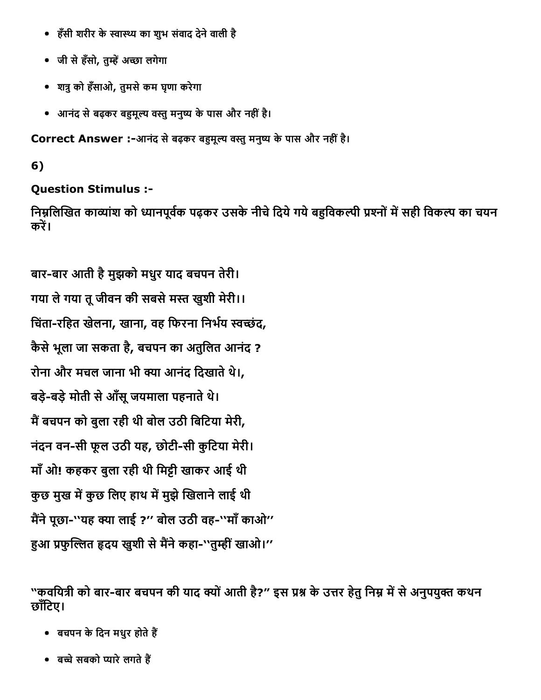- हँसी शरीर के स्वास्थ्य का शुभ संवाद देने वाली है
- जी से हँसो, तुम्हें अच्छा लगेगा
- श╨ुको हँसाओ, तुमसेकम घृणा करेगा
- आनंद से बढ़कर बहुमूल्य वस्तु मनुष्य के पास और नहीं है।

Correct Answer :-आनंद से बढ़कर बहुमूल्य वस्तु मनुष्य के पास और नहीं है।

## 6)

## Question Stimulus :

निम्नलिखित काव्यांश को ध्यानपूर्वक पढ़कर उसके नीचे दिये गये बहुविकल्पी प्रश्नों में सही विकल्प का चयन करें।

बार-बार आती है मुझको मधुर याद बचपन तेरी। गया ले गया तू जीवन की सबसे मस्त खुशी मेरी।। चिंता-रहित खेलना, खाना, वह फिरना निर्भय स्वच्छंद, कैसेभूला जा सकता है , बचपन का अतुिलत आनंद ? रोना और मचल जाना भी क्या आनंद दिखाते थे।, बड़े-बड़े मोती से आँसू जयमाला पहनाते थे। मैं बचपन को बुला रही थी बोल उठी बिटिया मेरी, नंदन वन-सी फूल उठी यह, छोटी-सी कुटिया मेरी। माँओ! कहकर बुला रही थी िम'ी खाकर आई थी कुछ मुख में कुछ लिए हाथ में मुझे खिलाने लाई थी मैंने पूछा-''यह क्या लाई ?'' बोल उठी वह-''माँ काओ'' हुआ प्रफुल्लित हृदय खुशी से मैंने कहा-''तुम्हीं खाओ।''

"कवयित्री को बार-बार बचपन की याद क्यों आती है?" इस प्रश्न के उत्तर हेतु निम्न में से अनुपयुक्त कथन छाँटिए।

- बचपन के दिन मधुर होते हैं
- बच्चे सबको प्यारे लगते हैं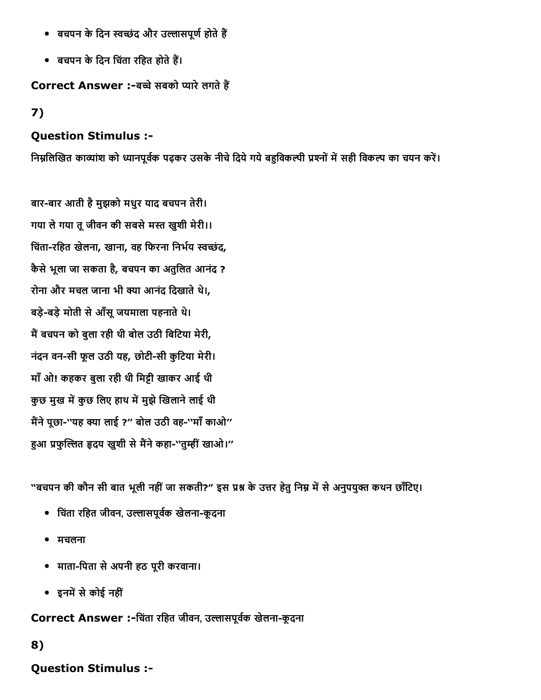- बचपन के दिन स्वच्छंद और उल्लासपूर्ण होते हैं
- बचपन के दिन चिंता रहित होते हैं।

#### Correct Answer :-बच्चे सबको प्यारे लगते हैं

### 7)

### Question Stimulus :

निम्नलिखित काव्यांश को ध्यानपूर्वक पढ़कर उसके नीचे दिये गये बहुविकल्पी प्रश्नों में सही विकल्प का चयन करें।

बार-बार आती है मुझको मधुर याद बचपन तेरी। गया ले गया तू जीवन की सबसे मस्त खुशी मेरी।। चिंता-रहित खेलना, खाना, वह फिरना निर्भय स्वच्छंद, कैसेभूला जा सकता है, बचपन का अतुिलत आनंद ? रोना और मचल जाना भी क्या आनंद दिखाते थे।, बड़े-बड़े मोती से आँसू जयमाला पहनाते थे। मैं बचपन को बुला रही थी बोल उठी बिटिया मेरी, नंदन वन-सी फूल उठी यह, छोटी-सी कूटिया मेरी। माँओ! कहकर बुला रही थी िम'ी खाकर आई थी कुछ मुख में कुछ लिए हाथ में मुझे खिलाने लाई थी मैंने पूछा-''यह क्या लाई ?'' बोल उठी वह-''माँ काओ'' हुआ प्रफुल्लित हृदय खुशी से मैंने कहा-''तुम्हीं खाओ।''

"बचपन की कौन सी बात भूली नहीं जा सकती?" इस प्रश्न के उत्तर हेतु निम्न में से अनुपयुक्त कथन छाँटिए।

- चिंता रहित जीवन, उल्लासपूर्वक खेलना-कूदना
- मचलना
- मातािपता सेअपनी हठ पूरी करवाना।
- इनमें से कोई नहीं

Correct Answer :-चिंता रहित जीवन, उल्लासपूर्वक खेलना-कूदना

### 8)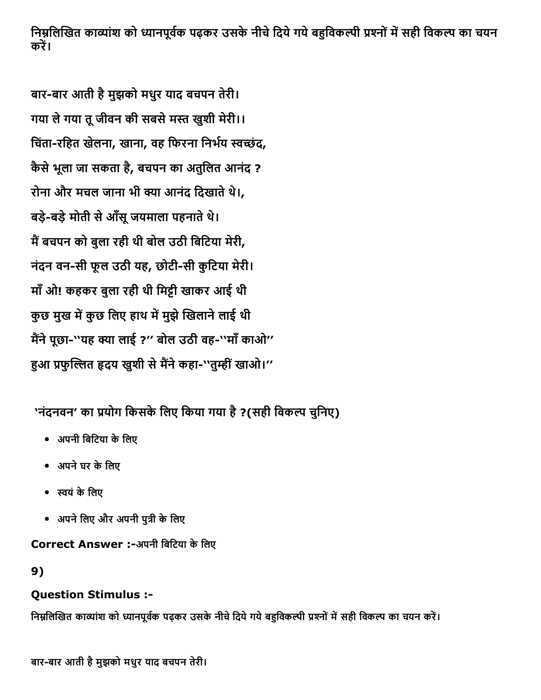निम्नलिखित काव्यांश को ध्यानपूर्वक पढ़कर उसके नीचे दिये गये बहुविकल्पी प्रश्नों में सही विकल्प का चयन करें।

बार-बार आती है मुझको मधुर याद बचपन तेरी। गया ले गया तू जीवन की सबसे मस्त खुशी मेरी।। चिंता-रहित खेलना, खाना, वह फिरना निर्भय स्वच्छंद, कैसेभूला जा सकता है , बचपन का अतुिलत आनंद ? रोना और मचल जाना भी क्या आनंद दिखाते थे।, बड़े-बड़े मोती से आँसू जयमाला पहनाते थे। मैं बचपन को बुला रही थी बोल उठी बिटिया मेरी, नंदन वन-सी फूल उठी यह, छोटी-सी कुटिया मेरी। माँओ! कहकर बुला रही थी िम'ी खाकर आई थी कुछ मुख में कुछ लिए हाथ में मुझे खिलाने लाई थी मैंने पूछा-''यह क्या लाई ?'' बोल उठी वह-''माँ काओ'' हुआ प्रफुल्लित हृदय खुशी से मैंने कहा-''तुम्हीं खाओ।''

'नंदनवन' का प्रयोग किसके लिए किया गया है ?(सही विकल्प चुनिए)

- अपनी बिटिया के लिए
- अपनेघर केिलए
- תּयंकेिलए
- अपने लिए और अपनी पुत्री के लिए

Correct Answer :-अपनी बिटिया के लिए

### 9)

### Question Stimulus :

निम्नलिखित काव्यांश को ध्यानपूर्वक पढ़कर उसके नीचे दिये गये बहुविकल्पी प्रश्नों में सही विकल्प का चयन करें।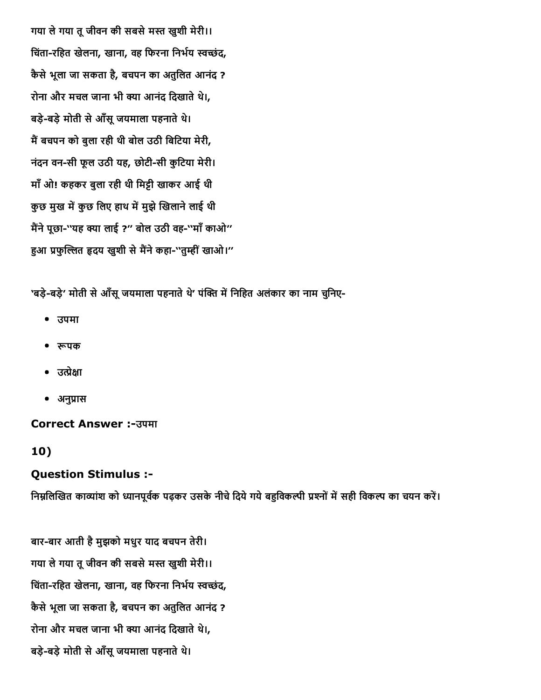गया ले गया तू जीवन की सबसे मस्त खुशी मेरी।। चिंता-रहित खेलना, खाना, वह फिरना निर्भय स्वच्छंद, कैसेभूला जा सकता है, बचपन का अतुिलत आनंद ? रोना और मचल जाना भी क्या आनंद दिखाते थे।, बड़े-बड़े मोती से आँसू जयमाला पहनाते थे। मैं बचपन को बुला रही थी बोल उठी बिटिया मेरी, नंदन वन-सी फूल उठी यह, छोटी-सी कुटिया मेरी। माँओ! कहकर बुला रही थी िम'ी खाकर आई थी कुछ मुख में कुछ लिए हाथ में मुझे खिलाने लाई थी मैंने पूछा-''यह क्या लाई ?'' बोल उठी वह-''माँ काओ'' हुआ प्रफुल्लित हृदय खुशी से मैंने कहा-''तुम्हीं खाओ।''

'बड़े-बड़े' मोती से आँसू जयमाला पहनाते थे' पंक्ति में निहित अलंकार का नाम चुनिए-

- उपमा
- रूपक
- $\bullet$  उत्प्रेक्षा
- अनुप्रास

#### Correct Answer :उपमा

#### 10)

#### Question Stimulus :

निम्नलिखित काव्यांश को ध्यानपूर्वक पढ़कर उसके नीचे दिये गये बहुविकल्पी प्रश्नों में सही विकल्प का चयन करें।

बार-बार आती है मुझको मधुर याद बचपन तेरी। गया ले गया तू जीवन की सबसे मस्त खुशी मेरी।। चिंता-रहित खेलना, खाना, वह फिरना निर्भय स्वच्छंद, कैसेभूला जा सकता है, बचपन का अतुिलत आनंद ? रोना और मचल जाना भी क्या आनंद दिखाते थे।, बड़े-बड़े मोती से आँसू जयमाला पहनाते थे।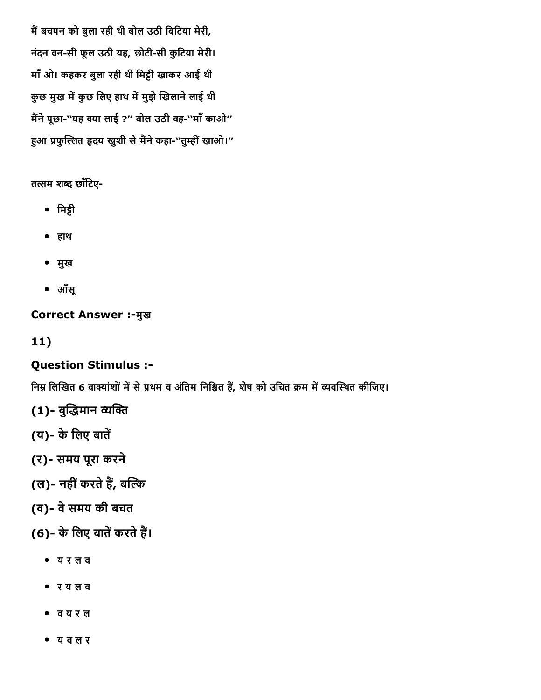मैं बचपन को बुला रही थी बोल उठी बिटिया मेरी, नंदन वन-सी फूल उठी यह, छोटी-सी कुटिया मेरी। माँ ओ! कहकर बुला रही थी मिट्टी खाकर आई थी कुछ मुख में कुछ लिए हाथ में मुझे खिलाने लाई थी मैंने पूछा-''यह क्या लाई ?'' बोल उठी वह-''माँ काओ'' हुआ प्रफुल्लित हृदय खुशी से मैंने कहा-''तुम्हीं खाओ।''

तत्सम शब्द छाँटिए-

- िम'ी
- हाथ
- मुख
- आँसू

**Correct Answer :- मुख** 

11)

### Question Stimulus :

निम्न लिखित 6 वाक्यांशों में से प्रथम व अंतिम निश्चित हैं, शेष को उचित क्रम में व्यवस्थित कीजिए।

- (1)- बुद्धिमान व्यक्ति
- (य)- के लिए बातें
- (र) समय पूरा करने
- (ल)- नहीं करते हैं, बल्कि
- (व) वेसमय की बचत
- (6) के लिए बातें करते हैं।
	- य र ल व
	- र य ल व
	- व य र ल
	- य व ल र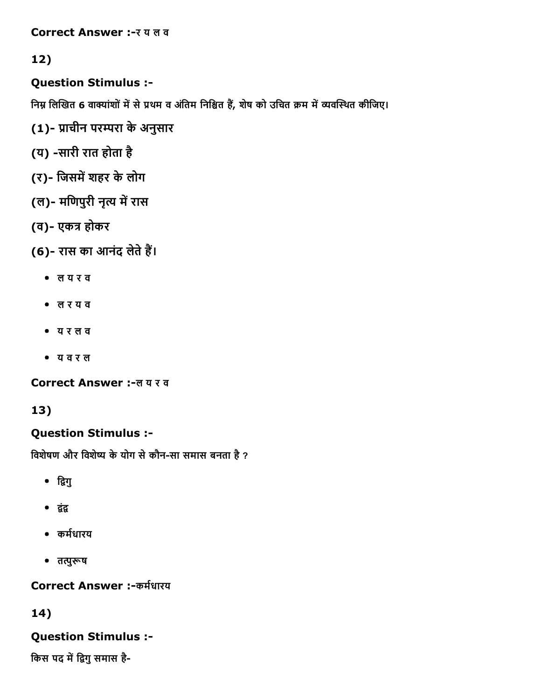Correct Answer :- र य ल व

### 12)

Question Stimulus :

निम्न लिखित 6 वाक्यांशों में से प्रथम व अंतिम निश्चित हैं, शेष को उचित क्रम में व्यवस्थित कीजिए।

- (1)- प्राचीन परम्परा के अनुसार
- (य) -सारी रात होता है
- (र)- जिसमें शहर के लोग
- (ल)- मणिपुरी नृत्य में रास
- (व)- एकत्र होकर

(6)- रास का आनंद लेते हैं।

- ल य र व
- ल र य व
- य र ल व
- य व र ल

Correct Answer :-ल य र व

## 13)

## Question Stimulus :

विशेषण और विशेष्य के योग से कौन-सा समास बनता है ?

- द्विगु
- द्वंद्व
- कर्मधारय
- तत्पुरूष

Correct Answer :-कर्मधारय

## 14)

## Question Stimulus :

किस पद में द्विगु समास है-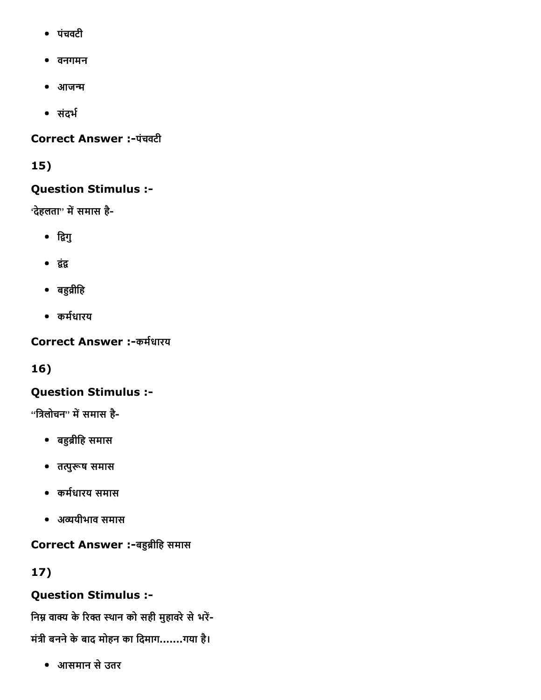- पंचवटी
- वनगमन
- आजन्म
- संदर्भ

### Correct Answer :-पंचवटी

### 15)

### Question Stimulus :

'देहलता'' में समास है-

- द्विगु
- द्वंद्व
- बहुव्रीहि
- कर्मधारय

Correct Answer :-कर्मधारय

16)

## Question Stimulus :

 $\cdot$ 'त्रिलोचन'' में समास है-

- बहुब्रीहि समास
- तत्पुरूष समास
- कर्मधारय समास
- अיयीभाव समास

Correct Answer :-बहुब्रीहि समास

17)

## Question Stimulus :

निम्न वाक्य के रिक्त स्थान को सही मुहावरे से भरें-

मंत्री बनने के बाद मोहन का दिमाग.......गया है।

आसमान सेउतर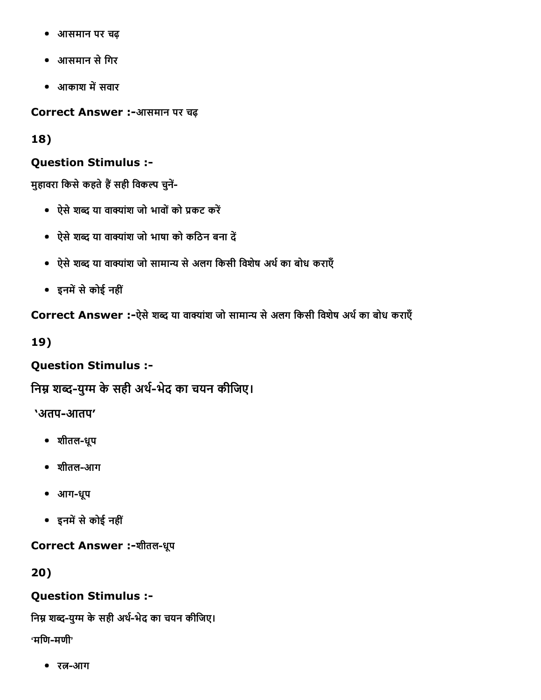- आसमान पर चढ़  $\bullet$
- आसमान सेिगर
- आकाश में सवार

Correct Answer :-आसमान पर चढ़

18)

#### Question Stimulus :

मुहावरा किसे कहते हैं सही विकल्प चुनें-

- ऐसे शब्द या वाक्यांश जो भावों को प्रकट करें
- ऐसे शब्द या वाक्यांश जो भाषा को कठिन बना दें
- ऐसे शब्द या वाक्यांश जो सामान्य से अलग किसी विशेष अर्थ का बोध कराएँ
- इनमें से कोई नहीं

Correct Answer :-ऐसे शब्द या वाक्यांश जो सामान्य से अलग किसी विशेष अर्थ का बोध कराएँ

19)

### Question Stimulus :

निम्न शब्द-युग्म के सही अर्थ-भेद का चयन कीजिए।

'अतप-आतप'

- शीतलधूप
- शीतल-आग
- आगधूप
- इनमें से कोई नहीं

Correct Answer :-शीतल-धूप

20)

#### Question Stimulus :

निम्न शब्द-युग्म के सही अर्थ-भेद का चयन कीजिए।  $\cdot$ मणि-मणी $\cdot$ 

• रत्न-आग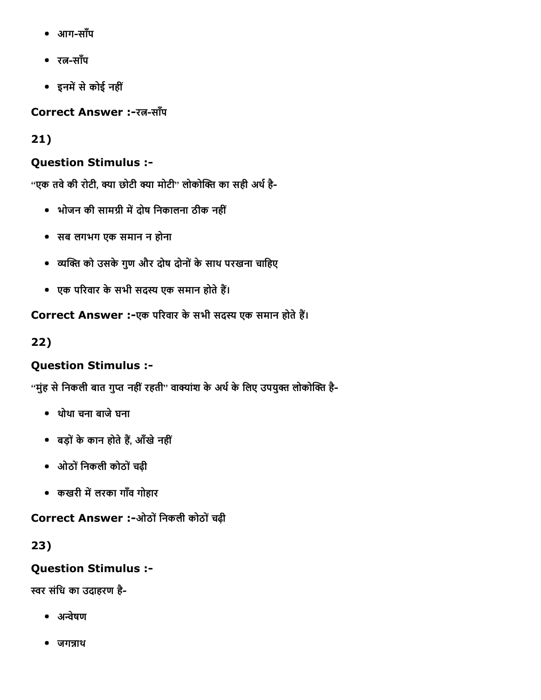- आगसाँप
- $\bullet$  रत-साँप
- इनमें से कोई नहीं

**Correct Answer :-रत्न-साँप** 

21)

## Question Stimulus :

"एक तवे की रोटी, क्या छोटी क्या मोटी" लोकोक्ति का सही अर्थ है-

- भोजन की सामग्री में दोष निकालना ठीक नहीं
- सब लगभग एक समान न होना
- व्यक्ति को उसके गुण और दोष दोनों के साथ परखना चाहिए
- एक परिवार के सभी सदस्य एक समान होते हैं।

Correct Answer :-एक परिवार के सभी सदस्य एक समान होते हैं।

22)

## Question Stimulus :

''मुंह से निकली बात गुप्त नहीं रहती'' वाक्यांश के अर्थ के लिए उपयुक्त लोकोक्ति है-

- थोथा चना बाजेघना
- बड़ों के कान होते हैं, आँखे नहीं
- ओठोंिनकली कोठोंचढ़ी
- कखरी में लरका गाँव गोहार

Correct Answer :-ओठों निकली कोठों चढ़ी

23)

## Question Stimulus :

स्वर संधि का उदाहरण है-

- अन्वेषण
- $\bullet$  जगन्नाथ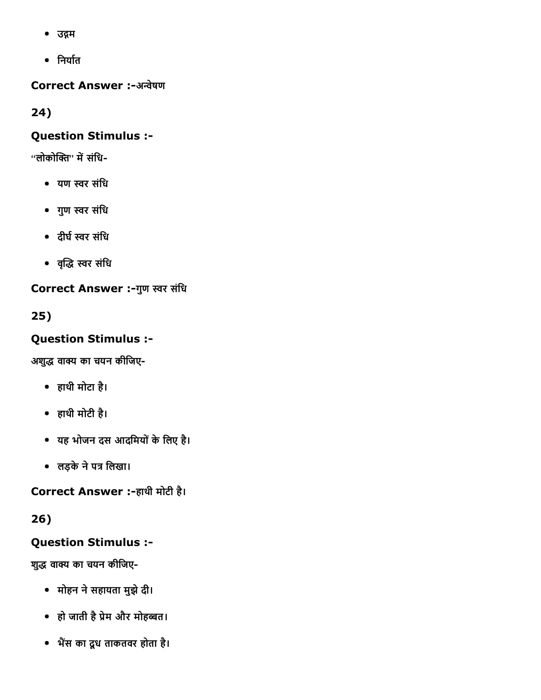- उद्गम
- निर्यात

Correct Answer :-अन्वेषण

24)

### Question Stimulus :

 $'$ ''लोकोक्ति'' में संधि-

- यण תּर संिध
- गुण תּर संिध
- दीर्घ स्वर संधि
- वεृο תּर संिध

Correct Answer :-गुण स्वर संधि

25)

## Question Stimulus :

अशुद्ध वाक्य का चयन कीजिए-

- हाथी मोटा है।
- हाथी मोटी है।
- यह भोजन दस आदिमयोंकेिलए है।
- लड़के ने पत्र लिखा।

Correct Answer :-हाथी मोटी है।

26)

## Question Stimulus :

शुद्ध वाक्य का चयन कीजिए-

- मोहन नेसहायता मुझेदी।
- हो जाती है प्रेम और मोहब्बत।
- भैंस का दूध ताकतवर होता है।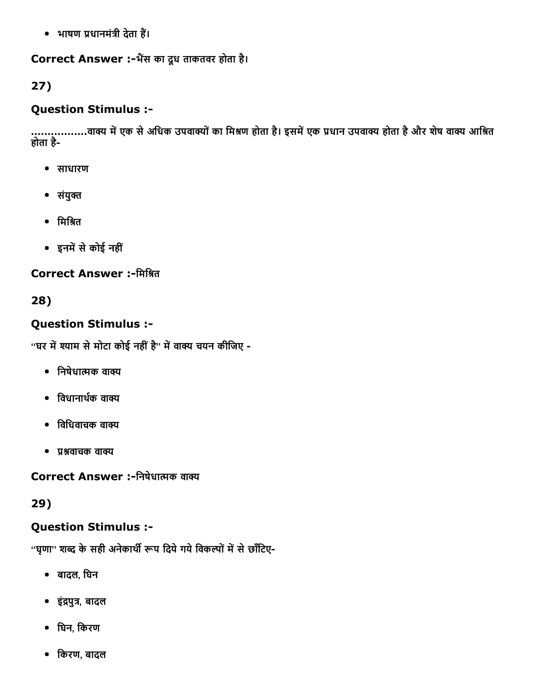• भाषण प्रधानमंत्री देता हैं।

#### Correct Answer :-भैंस का दूध ताकतवर होता है।

### 27)

### Question Stimulus :

...................वाक्य में एक से अधिक उपवाक्यों का मिश्रण होता है। इसमें एक प्रधान उपवाक्य होता है और शेष वाक्य आश्रित होता है

- साधारण
- $\bullet$  संयुक्त
- मिश्रित
- इनमें से कोई नहीं

#### Correct Answer :-मिश्रित

### 28)

### Question Stimulus :

''घर में श्याम से मोटा कोई नहीं है'' में वाक्य चयन कीजिए -

- $\bullet$  निषेधात्मक वाक्य
- विधानार्थक वाक्य
- $\bullet$  विधिवाचक वाक्य
- $\bullet$  प्रश्नवाचक वाक्य

Correct Answer :-निषेधात्मक वाक्य

29)

### Question Stimulus :

''घृणा'' शब्द के सही अनेकार्थी रूप दिये गये विकल्पों में से छाँटिए-

- बादल, िघन
- इंद्रपुत्र, बादल
- िघन, िकरण
- िकरण, बादल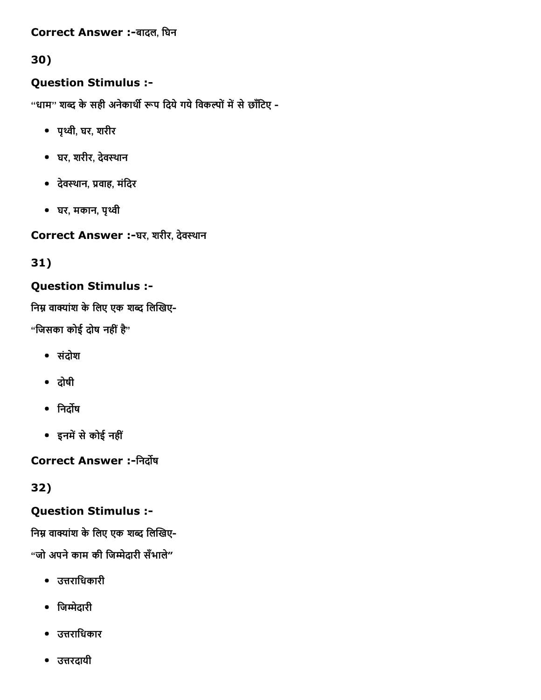Correct Answer :-बादल, घिन

## 30)

### Question Stimulus :

''धाम'' शब्द के सही अनेकार्थी रूप दिये गये विकल्पों में से छाँटिए -

- पृκी, घर, शरीर
- घर, शरीर, देव洄थान
- देवस्थान, प्रवाह, मंदिर
- घर, मकान, पृκी

Correct Answer :-घर, शरीर, देवस्थान

31)

### Question Stimulus :

निम्न वाक्यांश के लिए एक शब्द लिखिए-

"जिसका कोई दोष नहीं है"

- संदोश
- दोषी
- निर्दोष
- इनमें से कोई नहीं

Correct Answer :-निर्दोष

32)

### Question Stimulus :

निम्न वाक्यांश के लिए एक शब्द लिखिए-

"जो अपनेकाम की िजњेदारी सँभाले"

- उत्तराधिकारी
- िजњेदारी
- उत्तराधिकार
- उत्तरदायी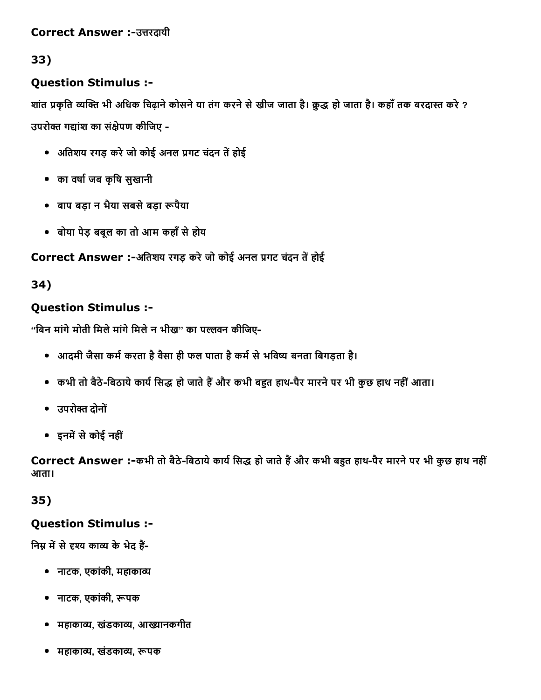#### Correct Answer :-उत्तरदायी

### 33)

### Question Stimulus :

शांत प्रकृति व्यक्ति भी अधिक चिढ़ाने कोसने या तंग करने से खीज जाता है। क़ुद्ध हो जाता है। कहाँ तक बरदास्त करे ? उपरोक्त गद्यांश का संक्षेपण कीजिए -

- अतिशय रगड़ करे जो कोई अनल प्रगट चंदन तें होई
- का वषा└जब कृिष सुखानी
- बाप बड़ा न भैया सबसेबड़ा ╜पैया
- बोया पेड़ बबूल का तो आम कहाँसेहोय

### Correct Answer :-अतिशय रगड़ करे जो कोई अनल प्रगट चंदन तें होई

### 34)

### Question Stimulus :

''बिन मांगे मोती मिले मांगे मिले न भीख'' का पल्लवन कीजिए-

- आदमी जैसा कर्म करता है वैसा ही फल पाता है कर्म से भविष्य बनता बिगड़ता है।
- कभी तो बैठे-बिठाये कार्य सिद्ध हो जाते हैं और कभी बहुत हाथ-पैर मारने पर भी कुछ हाथ नहीं आता।
- उपरोक्त दोनों
- इनमें से कोई नहीं

Correct Answer :-कभी तो बैठे-बिठाये कार्य सिद्ध हो जाते हैं और कभी बहुत हाथ-पैर मारने पर भी कुछ हाथ नहीं आता।

### 35)

### Question Stimulus :

निम्न में से दृश्य काव्य के भेद हैं-

- नाटक, एकांकी, महाकाव्य
- नाटक, एकांकी, रूपक
- महाकाव्य, खंडकाव्य, आख्यानकगीत
- महाकाव्य, खंडकाव्य, रूपक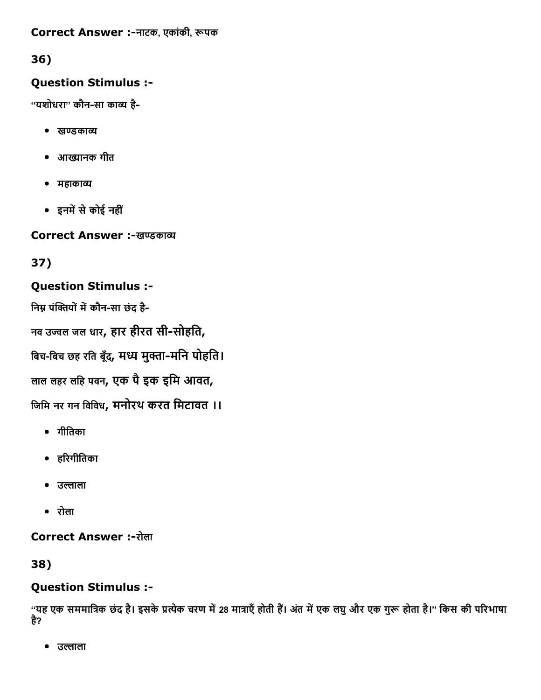#### Correct Answer :-नाटक, एकांकी, रूपक

### 36)

### Question Stimulus :

"यशोधरा" कौन-सा काव्य है-

- खण्डकाव्य
- आġानक गीत
- महाकाव्य
- इनमें से कोई नहीं

Correct Answer :-खण्डकाव्य

## 37)

### Question Stimulus :

निम्न पंक्तियों में कौन-सा छंद है-

नव उज्वल जल धार, हार हीरत सी-सोहति,

बिच-बिच छह रति बुँद, मध्य मुक्ता-मनि पोहति।

लाल लहर लिह पवन, एक पैइक इिम आवत,

िजिम नर गन िविवध, मनोरथ करत िमटावत ।।

- गीितका
- हδरगीितका
- उल्लाला
- रोला

**Correct Answer :-रोला** 

### 38)

### Question Stimulus :

''यह एक सममात्रिक छंद है। इसके प्रत्येक चरण में 28 मात्राएँ होती हैं। अंत में एक लघु और एक गुरू होता है।'' किस की परिभाषा है?

• उल्लाला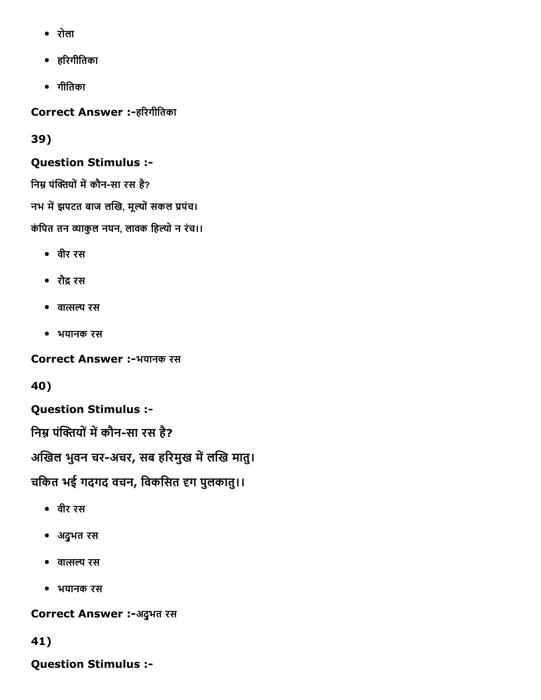- रोला
- हδरगीितका
- गीितका

Correct Answer :-हरिगीतिका

### 39)

### Question Stimulus :

निम्न पंक्तियों में कौन-सा रस है?

नभ में झपटत बाज लखि, मूल्यों सकल प्रपंच।

कंपित तन व्याकुल नयन, लावक हिल्यो न रंच।।

- वीर रस
- रौद्र रस
- $\bullet$  वात्सल्य रस
- भयानक रस

Correct Answer :-भयानक रस

40)

Question Stimulus :

निम्न पंक्तियों में कौन-सा रस है?

अखिल भुवन चर-अचर, सब हरिमुख में लखि मातु।

चकित भई गदगद वचन, विकसित हग पुलकातु।।

- वीर रस
- अद्ुभत रस
- वात्सल्य रस
- भयानक रस

Correct Answer :-अदुभत रस

## 41)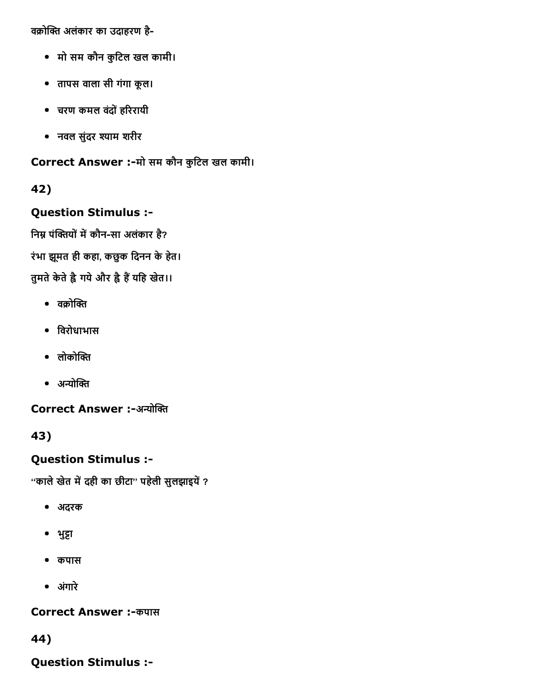वक्रोक्ति अलंकार का उदाहरण है-

- मो सम कौन कुिटल खल कामी।
- तापस वाला सी गंगा कूल।
- चरण कमल वदंोंहδररायी
- नवल सुंदर 樄याम शरीर

Correct Answer :-मो सम कौन कुटिल खल कामी।

42)

### Question Stimulus :

निम्न पंक्तियों में कौन-सा अलंकार है?

रंभा झमूत ही कहा, कछुक िदनन केहेत।

तुमते केते है गये और है हैं यहि खेत।।

- $\bullet$  वक्रोक्ति
- िवरोधाभास
- $\bullet$  लोकोक्ति
- $\bullet$  अन्योक्ति

Correct Answer :-अन्योक्ति

43)

Question Stimulus :

''काले खेत में दही का छीटा'' पहेली सुलझाइयें ?

- अदरक
- भुट्टा
- कपास
- अगंारे

**Correct Answer :- कपास** 

44)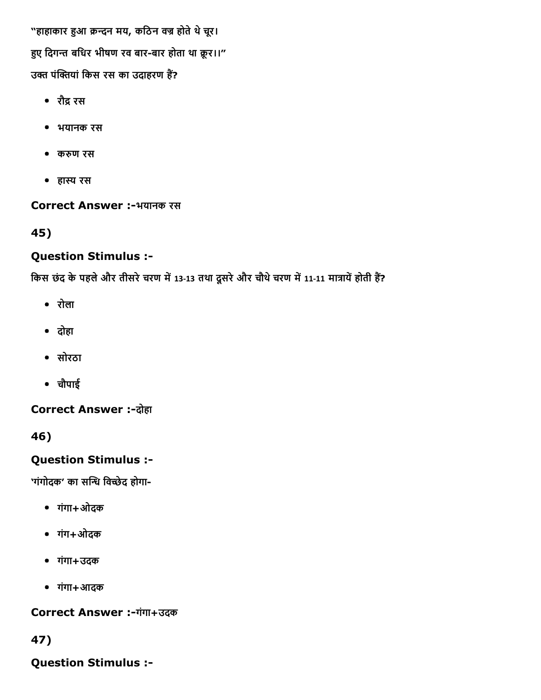"हाहाकार हुआ क्रन्दन मय, कठिन वज्र होते थे चूर। हुए दिगन्त बधिर भीषण रव बार-बार होता था क्रूर।।" उक्त पंक्तियां किस रस का उदाहरण हैं?

- रौद्र रस
- भयानक रस
- करुण रस
- हास्य रस

### Correct Answer :-भयानक रस

45)

## Question Stimulus :

किस छंद के पहले और तीसरे चरण में 13‐13 तथा दूसरे और चौथे चरण में 11‐11 मात्रायें होती हैं?

- रोला
- दोहा
- सोरठा
- चौपाई

**Correct Answer :-दोहा** 

46)

## Question Stimulus :

'गंगोदक' का सन्धि विच्छेद होगा-

- गंगा+ओदक
- गंग+ओदक
- गंगा+उदक
- गंगा+आदक

Correct Answer :-गंगा+उदक

47)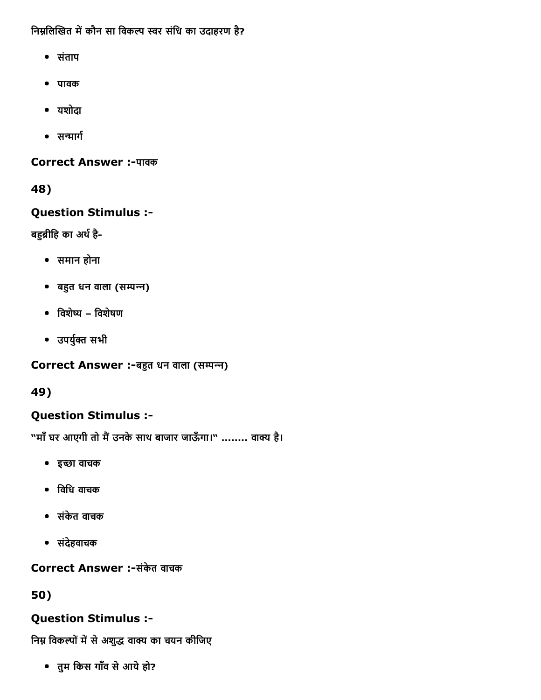निम्नलिखित में कौन सा विकल्प स्वर संधि का उदाहरण है?

- संताप
- पावक
- यशोदा
- सन्मार्ग

Correct Answer :-पावक

48)

Question Stimulus :

बहुब्रीहि का अर्थ है-

- समान होना
- बहुत धन वाला (सम्पन्न)
- िवशे氄य िवशेषण
- उपर्युक्त सभी

Correct Answer :-बहुत धन वाला (सम्पन्न)

49)

## Question Stimulus :

"माँ घर आएगी तो मैं उनके साथ बाजार जाऊँगा।" ........ वाक्य है।

- इ⤄छा वाचक
- िविध वाचक
- संकेत वाचक
- संदेहवाचक

Correct Answer :-संकेत वाचक

50)

### Question Stimulus :

निम्न विकल्पों में से अशुद्ध वाक्य का चयन कीजिए

तुम िकस गाँव सेआयेहो?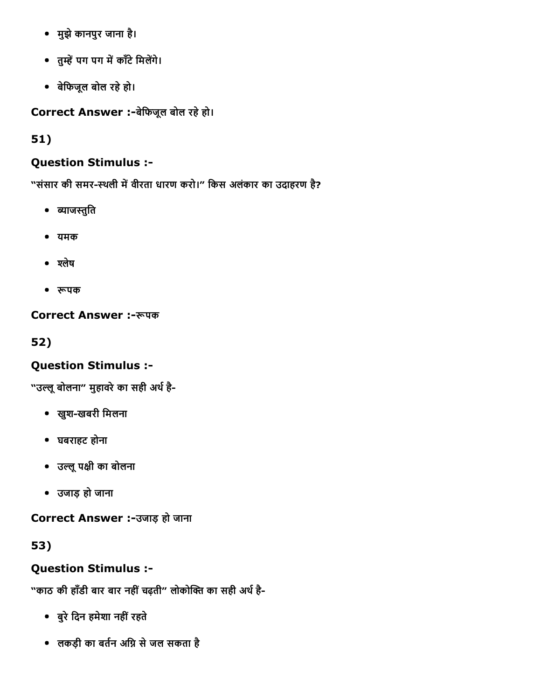- मुझेकानपुर जाना है।
- तुम्हें पग पग में काँटे मिलेंगे।
- बेिफजूल बोल रहेहो।

Correct Answer :-बेफिजूल बोल रहे हो।

51)

## Question Stimulus :

"संसार की समर-स्थली में वीरता धारण करो।" किस अलंकार का उदाहरण है?

- ब्याजस्तुति
- यमक
- श्लेष
- रूपक

Correct Answer :-रूपक

52)

## Question Stimulus :

"उल्लू बोलना" मुहावरे का सही अर्थ है-

- खुश-खबरी मिलना
- घबराहट होना
- उیलूपāी का बोलना
- उजाड़ हो जाना

Correct Answer :-उजाड़ हो जाना

53)

## Question Stimulus :

"काठ की हाँडी बार बार नहीं चढ़ती" लोकोक्ति का सही अर्थ है-

- बुरेिदन हमेशा नहींरहते
- लकड़ी का बर्तन अग्नि से जल सकता है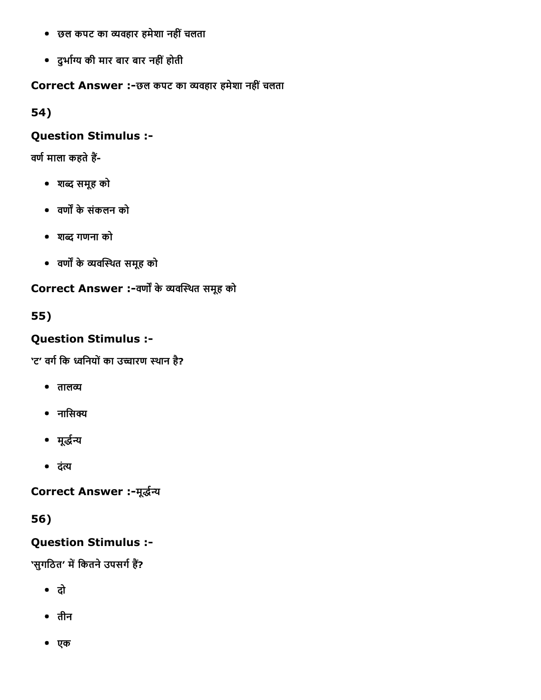- छल कपट का יवहार हमेशा नहींचलता
- दुर्भाग्य की मार बार बार नहीं होती

### Correct Answer :-छल कपट का व्यवहार हमेशा नहीं चलता

54)

#### Question Stimulus :

वर्ण माला कहते हैं-

- शо समूह को
- वण╗ केसंकलन को
- शо गणना को
- वर्णों के व्यवस्थित समूह को

### Correct Answer :-वर्णों के व्यवस्थित समूह को

55)

### Question Stimulus :

'ट' वर्ग कि ध्वनियों का उच्चारण स्थान है?

- तालव्य
- $\bullet$  नासिक्य
- मूर्द्धन्य
- दंत्य

Correct Answer :-मूर्द्धन्य

56)

### Question Stimulus :

'सुगठित' में कितने उपसर्ग हैं?

- दो
- तीन
- एक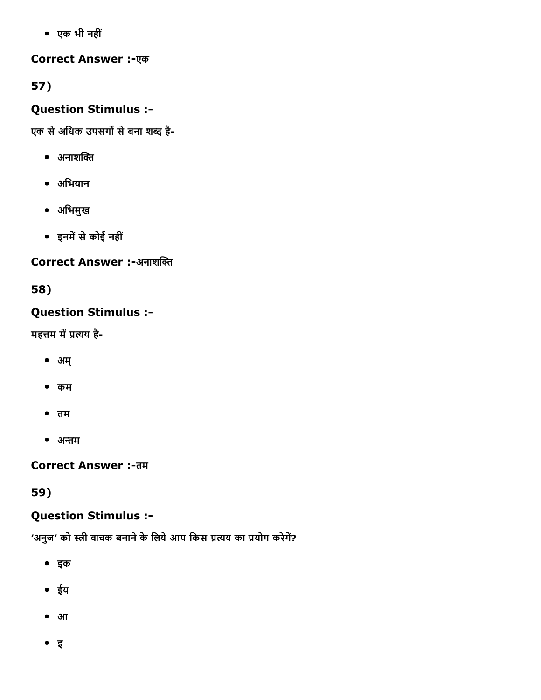एक भी नहीं

## Correct Answer :-एक

57)

## Question Stimulus :

एक से अधिक उपसर्गो से बना शब्द है-

- $\bullet$  अनाशक्ति
- अिभयान
- अिभमुख
- इनमें से कोई नहीं

## Correct Answer :-अनाशक्ति

58)

# Question Stimulus :

महत्तम में प्रत्यय है-

- अम्
- कम
- तम
- अЋम

Correct Answer :- तम

59)

## Question Stimulus :

'अनुज' को स्त्री वाचक बनाने के लिये आप किस प्रत्यय का प्रयोग करेगें?

- इक
- ईय
- आ
- इ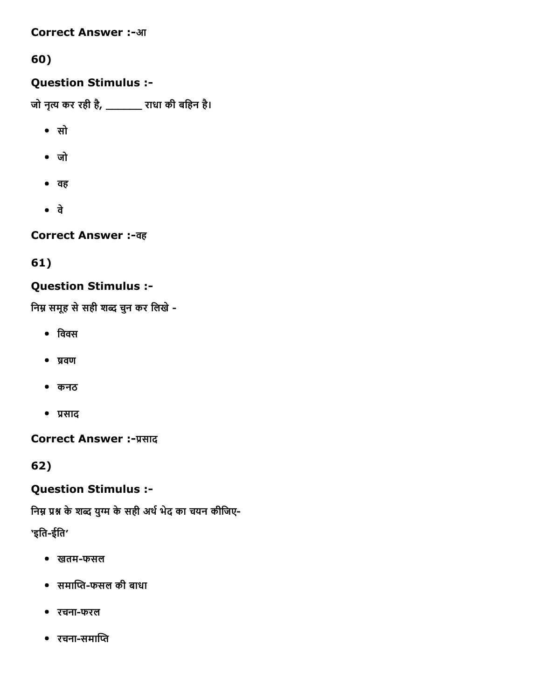#### **Correct Answer :-आ**

# 60)

## Question Stimulus :

जो नृत्य कर रही है, \_\_\_\_\_\_\_ राधा की बहिन है।

- सो
- जो
- वह
- वे

Correct Answer :-वह

61)

## Question Stimulus :

निम्न समूह से सही शब्द चुन कर लिखे -

- $\bullet$  विवस
- प्रवण
- कनठ
- प्रसाद

**Correct Answer :- प्रसाद** 

62)

## Question Stimulus :

निम्न प्रश्न के शब्द युग्म के सही अर्थ भेद का चयन कीजिए-

'इति-ईति'

- खतम-फसल
- समाप्ति-फसल की बाधा
- रचनाफरल
- रचना-समाप्ति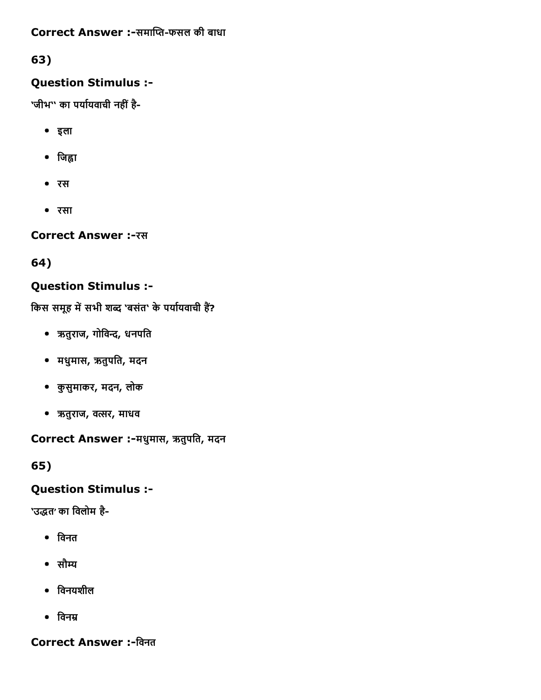## Correct Answer :-समाप्ति-फसल की बाधा

## 63)

## Question Stimulus :

'जीभ'' का पर्यायवाची नहीं है-

- इला
- जिह्वा
- रस
- रसा

Correct Answer :-रस

64)

# Question Stimulus :

किस समूह में सभी शब्द 'बसंत' के पर्यायवाची हैं?

- ऋतुराज, गोिवГ, धनपित
- मधुमास, ऋतुपित, मदन
- कुसुमाकर, मदन, लोक
- ऋतुराज, वγर, माधव

Correct Answer :मधुमास, ऋतुपित, मदन

65)

## Question Stimulus :

'उद्धत' का विलोम है-

- िवनत
- सौम्य
- िवनयशील
- $\bullet$  विनम्र

## Correct Answer :-विनत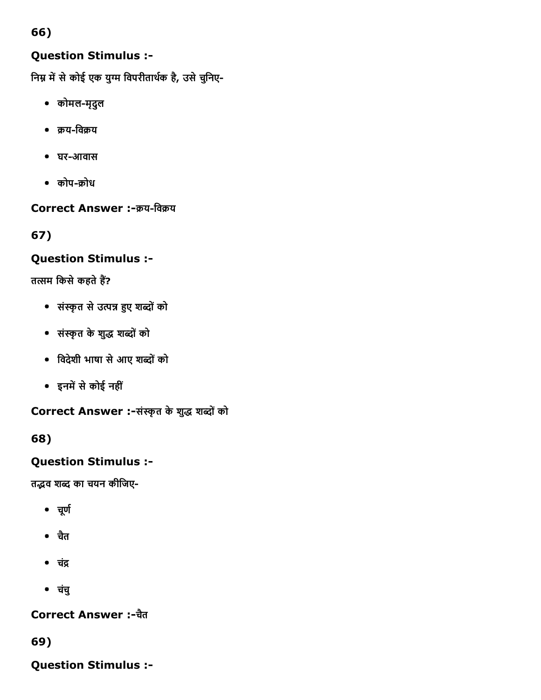# Question Stimulus :

निम्न में से कोई एक युग्म विपरीतार्थक है, उसे चुनिए-

- कोमलमृदुल
- क्रय-विक्रय
- घर-आवास
- कोप-क्रोध

Correct Answer :- क्रय-विक्रय

67)

# Question Stimulus :

तत्सम किसे कहते हैं?

- संאַृत सेउΧК ╟ए शоोंको
- संאַृत केशुο शоोंको
- िवदेशी भाषा सेआए शоोंको
- इनमें से कोई नहीं

Correct Answer :-संस्कृत के शुद्ध शब्दों को

68)

# Question Stimulus :

तद्भव शब्द का चयन कीजिए-

- चूर्ण
- चतै
- चंद्र
- चचंु

Correct Answer :चतै

69)

Question Stimulus :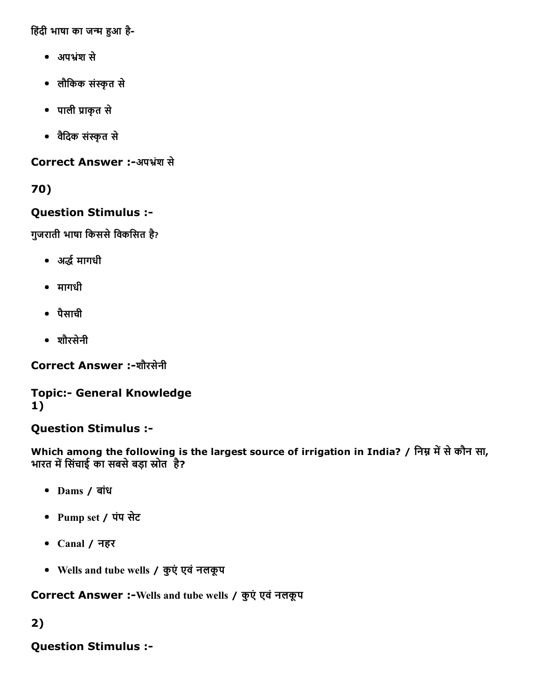हिंदी भाषा का जन्म हुआ है-

- अपभ्रंश से
- लौिकक संאַृत से
- पाली ▀ाकृत से
- विैदक संאַृत से

Correct Answer :-अपभ्रंश से

70)

## Question Stimulus :

गुजराती भाषा किससे विकसित है?

- अर्द्ध मागधी
- मागधी
- पैसाची
- शौरसेनी

Correct Answer :-शौरसेनी

**Topic:- General Knowledge** 1)

## Question Stimulus :

Which among the following is the largest source of irrigation in India? / निम्न में से कौन सा, भारत में सिंचाई का सबसे बड़ा स्रोत है?

- Dams / बांध
- Pump set / पंप सेट
- Canal / नहर
- Wells and tube wells / कुएंएवंनलकूप

Correct Answer :- Wells and tube wells / कुएं एवं नलकूप

# 2)

# Question Stimulus :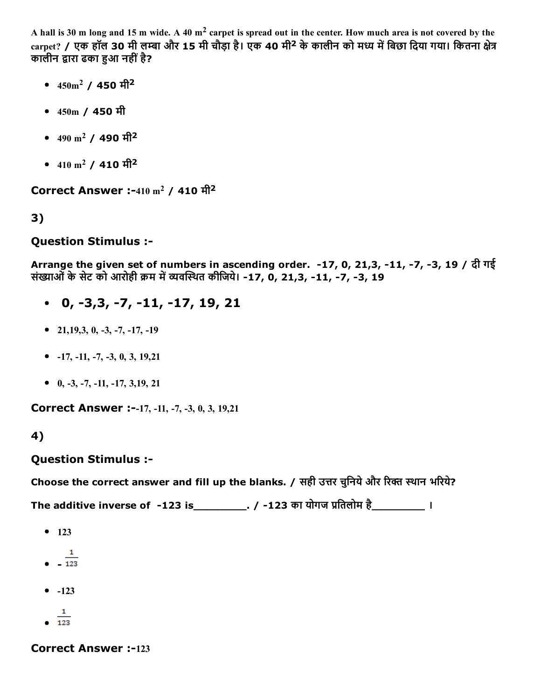A hall is 30 m long and 15 m wide. A 40  $m<sup>2</sup>$  carpet is spread out in the center. How much area is not covered by the  $\frac{1}{2}$  carpet? / एक हॉल 30 मी लम्बा और 15 मी चौड़ा है। एक 40 मी<sup>2</sup> के कालीन को मध्य में बिछा दिया गया। कितना क्षेत्र कालीन द्वारा ढका हुआ नहीं है?

- $450 \text{ m}^2$  /  $450 \text{ m}^2$
- 450m / 450 मी
- $490 \text{ m}^2$  /  $490 \text{ m}^2$
- $410 \text{ m}^2$  /  $410 \text{ m}^2$

**Correct Answer :-410 m<sup>2</sup> / 410 मी<sup>2</sup>** 

3)

## Question Stimulus :

Arrange the given set of numbers in ascending order. -17, 0, 21,3, -11, -7, -3, 19 / दी गई संख्याओं के सेट को आरोही क्रम में व्यवस्थित कीजिये। -17, 0, 21,3, -11, -7, -3, 19

- $0, -3, 3, -7, -11, -17, 19, 21$
- $\bullet$  21,19,3, 0, -3, -7, -17, -19
- $-17, -11, -7, -3, 0, 3, 19, 21$
- $0, -3, -7, -11, -17, 3, 19, 21$

Correct Answer :--17, -11, -7, -3, 0, 3, 19,21

4)

## Question Stimulus :

Choose the correct answer and fill up the blanks. / सही उत्तर चुनिये और रिक्त स्थान भरिये?

The additive inverse of -123 is\_\_\_\_\_\_\_\_\_. / -123 का योगज प्रतिलोम है\_\_\_\_\_\_\_\_\_\_\_ ।

- $123$
- $\mathbf{1}$  $\frac{1}{123}$
- $-123$
- $\mathbf{1}$
- $\bullet$  123

**Correct Answer :-123**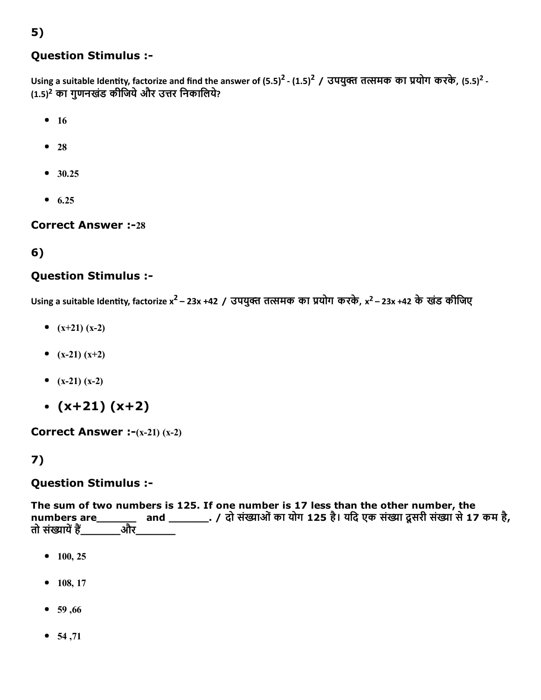### Question Stimulus :

Using a suitable Identity, factorize and find the answer of (5.5)<sup>2</sup> - (1.5)<sup>2</sup> / उपयुक्त तत्समक का प्रयोग करके, (5.5)<sup>2</sup> -(1.5)<sup>2</sup> का गुणनखंड कीजिये और उत्तर निकालिये?

- $16$
- $28$
- $30.25$
- $6.25$

**Correct Answer :-28** 

### 6)

#### Question Stimulus :

Using a suitable Identity, factorize x<sup>2</sup> – 23x +42 / उपयुक्त तत्समक का प्रयोग करके, x<sup>2</sup> – 23x +42 के खंड कीजिए

- $(x+21) (x-2)$
- $(x-21) (x+2)$
- $(x-21) (x-2)$
- $\cdot$  (x+21) (x+2)

**Correct Answer :-(x-21) (x-2)** 

## 7)

#### Question Stimulus :

The sum of two numbers is 125. If one number is 17 less than the other number, the numbers are\_\_\_\_\_\_\_ and \_\_\_\_\_\_\_\_. / दो संख्याओं का योग 125 है। यदि एक संख्या दूसरी संख्या से 17 कम है,<br>तो संख्यायें हैं और तो संख्यायें हैं\_

- $100, 25$
- $108, 17$
- $59,66$
- $54,71$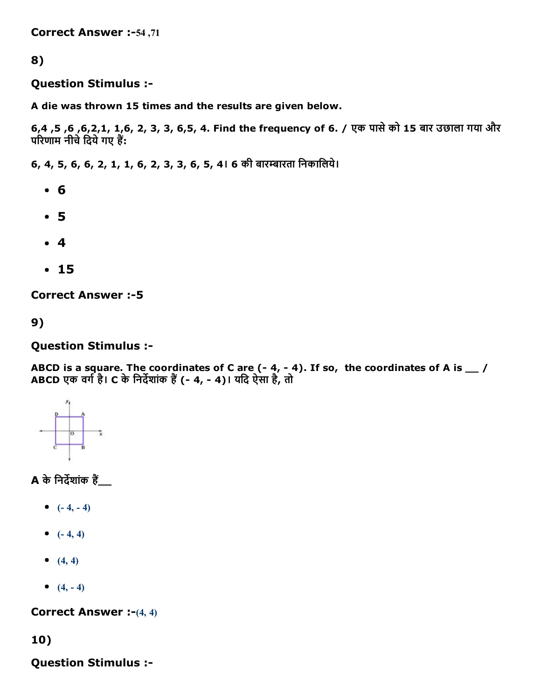Correct Answer :-54,71

#### 8)

Question Stimulus :

A die was thrown 15 times and the results are given below.

6,4 ,5 ,6 ,6,2,1, 1,6, 2, 3, 3, 6,5, 4. Find the frequency of 6. / एक पासेको 15 बार उछाला गया और परिणाम नीचे दिये गए हैं:

6, 4, 5, 6, 6, 2, 1, 1, 6, 2, 3, 3, 6, 5, 4। 6 की बारѕारता िनकािलये।

- 6
- 5
- 4
- 15

**Correct Answer :- 5** 

9)

#### Question Stimulus :

ABCD is a square. The coordinates of C are (- 4, - 4). If so, the coordinates of A is  $\_\,\_\,$  / ABCD एक वर्ग है। C के निर्देशांक हैं (- 4, - 4)। यदि ऐसा है, तो



**A** के निर्देशांक हैं

- $(-4, -4)$
- $(-4, 4)$
- $(4, 4)$
- $(4, -4)$

**Correct Answer :-** $(4, 4)$ 

10)

Question Stimulus :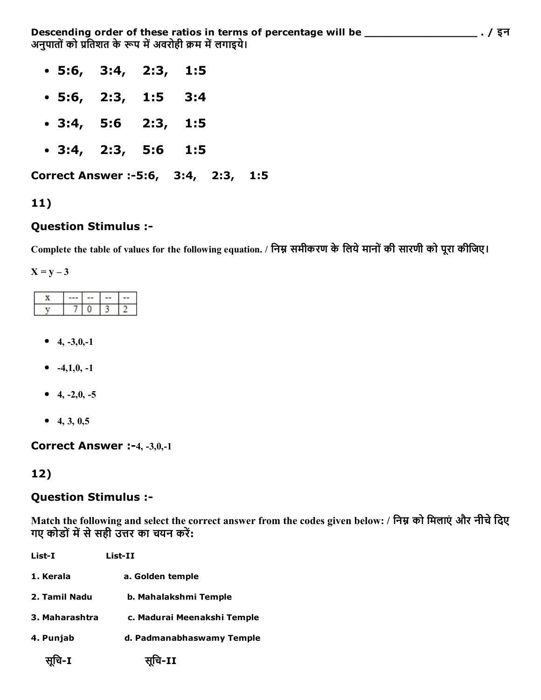Descending order of these ratios in terms of percentage will be \_\_\_\_\_\_\_\_\_\_\_\_\_\_\_\_\_ . / इन अनुपातों को प्रतिशत के रूप में अवरोही क्रम में लगाइये।

- 5:6, 3:4, 2:3, 1:5
- 5:6, 2:3, 1:5 3:4
- 3:4, 5:6 2:3, 1:5
- 3:4, 2:3, 5:6 1:5

Correct Answer :-5:6, 3:4, 2:3, 1:5

#### 11)

#### Question Stimulus :

Complete the table of values for the following equation. / निम्न समीकरण के लिये मानों की सारणी को पूरा कीजिए।

 $X = y - 3$ 

- $\bullet$  4, -3,0,-1
- $-4,1,0,-1$
- $-4, -2, 0, -5$
- 4, 3,  $0,5$

#### Correct Answer :-4, -3,0,-1

#### 12)

#### Question Stimulus :

Match the following and select the correct answer from the codes given below: / निम्न को मिलाएं और नीचे दिए गए कोडों में से सही उत्तर का चयन करें:

| List-I         | List-II                     |  |  |
|----------------|-----------------------------|--|--|
| 1. Kerala      | a. Golden temple            |  |  |
| 2. Tamil Nadu  | b. Mahalakshmi Temple       |  |  |
| 3. Maharashtra | c. Madurai Meenakshi Temple |  |  |
| 4. Punjab      | d. Padmanabhaswamy Temple   |  |  |
| चि-I           | सूचि-II                     |  |  |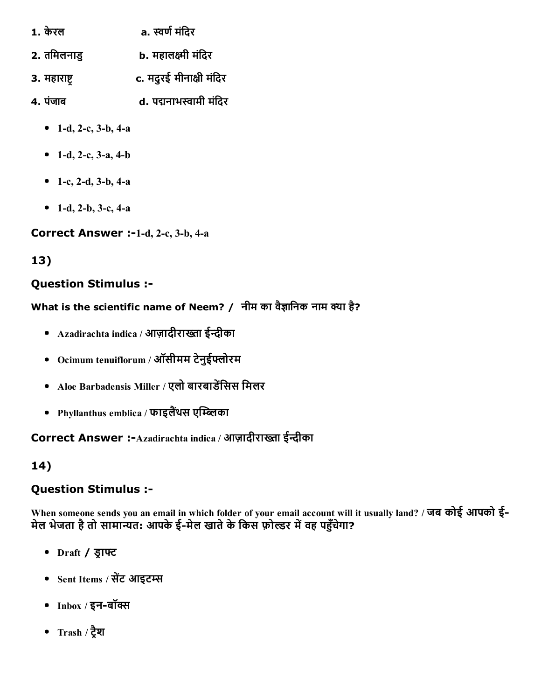- 1. केरल a. स्वर्ण मंदिर
- 2. तमिलनाडु b. महालक्ष्मी मंदिर
- 3. महाराष्ट संस्टर् कर पर पर पर पर पर प्रक्रिय
- 4. पंजाब d. पद्मनाभस्वामी मंदिर
	- 1-d, 2-c,  $3-b$ ,  $4-a$
	- 1-d, 2-c, 3-a, 4-b
	- 1-c, 2-d, 3-b, 4-a
	- 1-d, 2-b, 3-c, 4-a

Correct Answer :-1-d, 2-c, 3-b, 4-a

13)

# Question Stimulus :

What is the scientific name of Neem? / नीम का वैज्ञानिक नाम क्या है?

- Azadirachta indica / आज़ादीराख्ता ईन्दीका
- Ocimum tenuiflorum / ऑसीमम टेनुईиोरम
- Aloe Barbadensis Miller / एलो बारबाडेंसिस मिलर
- Phyllanthus emblica / फाइलैंथस एम्ब्लिका

Correct Answer :-Azadirachta indica / आज़ादीराख्ता ईन्दीका

14)

## Question Stimulus :

When someone sends you an email in which folder of your email account will it usually land? / जब कोई आपको ई-मेल भेजता है तो सामान्यत: आपके ई-मेल खाते के किस फ़ोल्डर में वह पहुँचेगा?

- Draft / ड्राफ्ट
- Sent Items / सेंट आइटम्स
- Inbox / इन-बॉक्स
- Trash / ट्रैश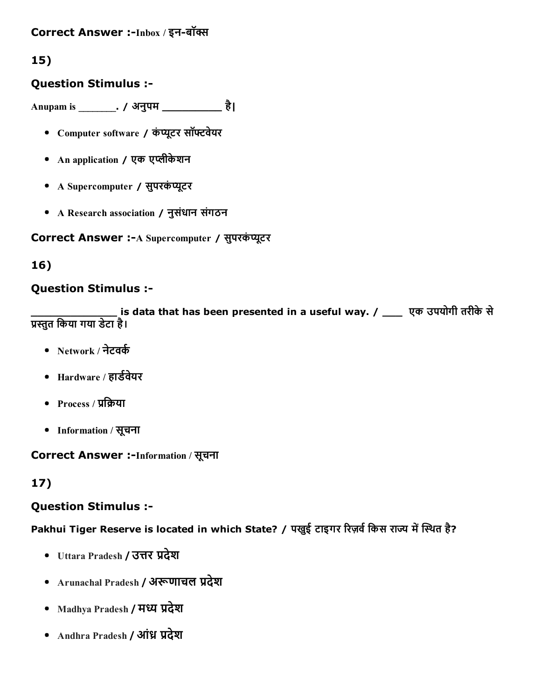### Correct Answer :-Inbox / इन-बॉक्स

## 15)

### Question Stimulus :

Anupam is \_\_\_\_\_\_\_\_. / अनुपम \_\_\_\_\_\_\_\_\_ है|

- Computer software / कंप्यूटर सॉफ्टवेयर
- An application / एक एЮीकेशन
- A Supercomputer / सुपरकंप्यूटर
- A Research association / नुसंधान संगठन

Correct Answer :- A Supercomputer / सुपरकंप्यूटर

### 16)

### Question Stimulus :

्<br>is data that has been presented in a useful way. / \_\_\_\_ एक उपयोगी तरीके से ▀הּुत िकया गया डेटा है।

- Network / नेटवर्क
- Hardware / हार्डवेयर
- Process / प्रक्रिया
- Information / सूचना

Correct Answer :-Information / सूचना

## 17)

#### Question Stimulus :

Pakhui Tiger Reserve is located in which State? / पखुई टाइगर रिज़र्व किस राज्य में स्थित है?

- Uttara Pradesh / उत्तर प्रदेश
- Arunachal Pradesh / अरूणाचल प्रदेश
- Madhya Pradesh / मध्य प्रदेश
- Andhra Pradesh / आंध्र प्रदेश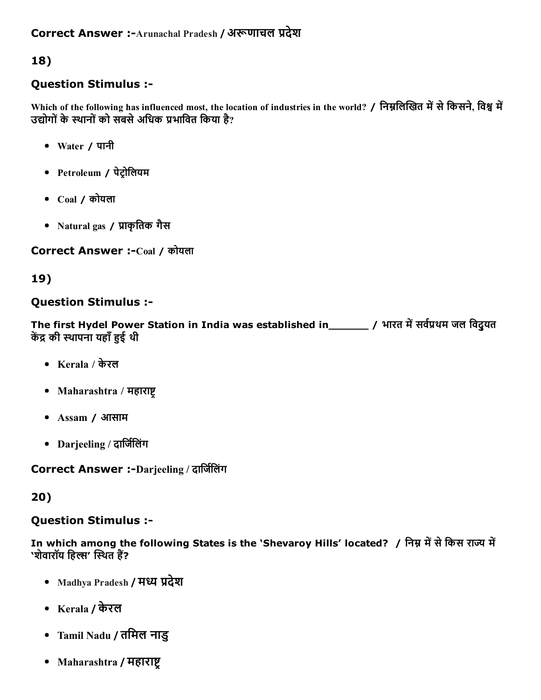### Question Stimulus :

Which of the following has influenced most, the location of industries in the world? / निम्नलिखित में से किसने, विश्व में उद्योगों के स्थानों को सबसे अधिक प्रभावित किया है?

- Water / पानी
- Petroleum / पेट्रोलियम
- $Coal / \n$ कोयला
- Natural gas / प्राकृतिक गैस

Correct Answer :-Coal / कोयला

## 19)

### Question Stimulus :

The first Hydel Power Station in India was established in\_\_\_\_\_\_ / भारत में सर्वप्रथम जल विदुयत केंद्र की स्थापना यहाँ हुई थी

- Kerala / केरल
- Maharashtra / महाराष्ट्
- Assam / आसाम
- Darjeeling / दार्जिलिंग

Correct Answer :-Darjeeling / दार्जिलिंग

## 20)

## Question Stimulus :

In which among the following States is the 'Shevaroy Hills' located? / निम्न में से किस राज्य में 'शेवारॉय हिल्स' स्थित हैं?

- Madhya Pradesh / मध्य प्रदेश
- Kerala / केरल
- Tamil Nadu / तिमल नाडु
- Maharashtra / महाराष्ट्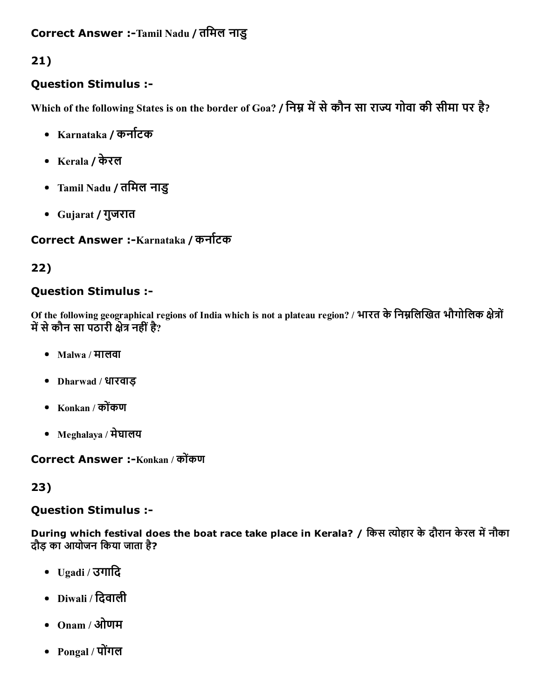## Question Stimulus :

Which of the following States is on the border of Goa? / निम्न में से कौन सा राज्य गोवा की सीमा पर है?

- Karnataka / कर्नाटक
- Kerala / केरल
- Tamil Nadu / तिमल नाडु
- Gujarat / गुजरात

# Correct Answer :-Karnataka / कर्नाटक

# 22)

## Question Stimulus :

Of the following geographical regions of India which is not a plateau region? / भारत के निम्नलिखित भौगोलिक क्षेत्रों में से कौन सा पठारी क्षेत्र नहीं है?

- Malwa / मालवा
- Dharwad / धारवाड़
- Konkan / कोकंण
- Meghalaya / मेघालय

Correct Answer :-Konkan / कोंकण

## 23)

## Question Stimulus :

During which festival does the boat race take place in Kerala? / किस त्योहार के दौरान केरल में नौका दौड़ का आयोजन िकया जाता है?

- Ugadi / उगािद
- Diwali / िदवाली
- Onam / ओणम
- Pongal / पोगंल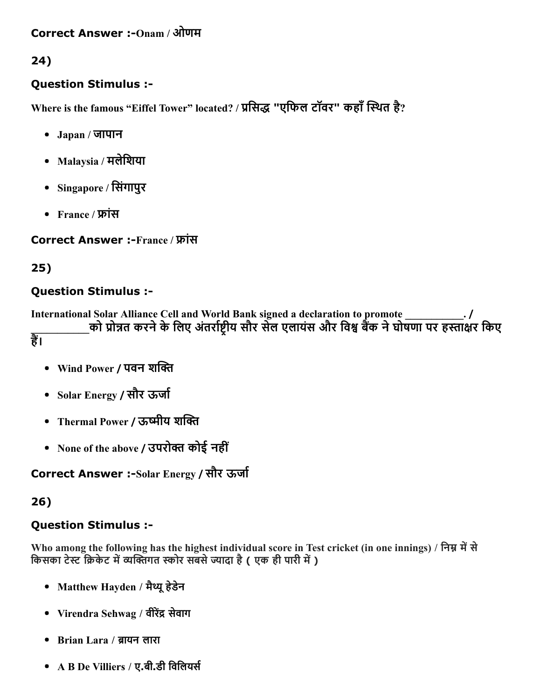#### Correct Answer :-Onam / ओणम

24)

### Question Stimulus :

Where is the famous "Eiffel Tower" located? / प्रसिद्ध "एफिल टॉवर" कहाँ स्थित है?

- Japan / जापान
- $M$ alaysia / मलेशिया
- Singapore / िसंगापुर
- France / फ्रांस

Correct Answer :-France / फ्रांस

## 25)

## Question Stimulus :

International Solar Alliance Cell and World Bank signed a declaration to promote को प्रोन्नत करने के लिए अंतर्राष्टीय सौर सेल एलायंस और विश्व बैंक ने घोषणा पर हस्ताक्षर किए हैं।

- Wind Power / पवन शक्ति
- Solar Energy / सौर ऊर्जा
- Thermal Power / ऊष्मीय शक्ति
- None of the above / उपरोक्त कोई नहीं

Correct Answer :-Solar Energy / सौर ऊर्जा

## 26)

## Question Stimulus :

Who among the following has the highest individual score in Test cricket (in one innings) / निम्न में से किसका टेस्ट क्रिकेट में व्यक्तिंगत स्कोर सबसे ज्यादा है ( एक ही पारी में )

- Matthew Hayden / मैथ्यू हेडेन
- Virendra Sehwag / वीरेंद्र सेवाग
- Brian Lara / ब्रायन लारा
- $\overline{A}$  B De Villiers / ए.बी.डी विलियर्स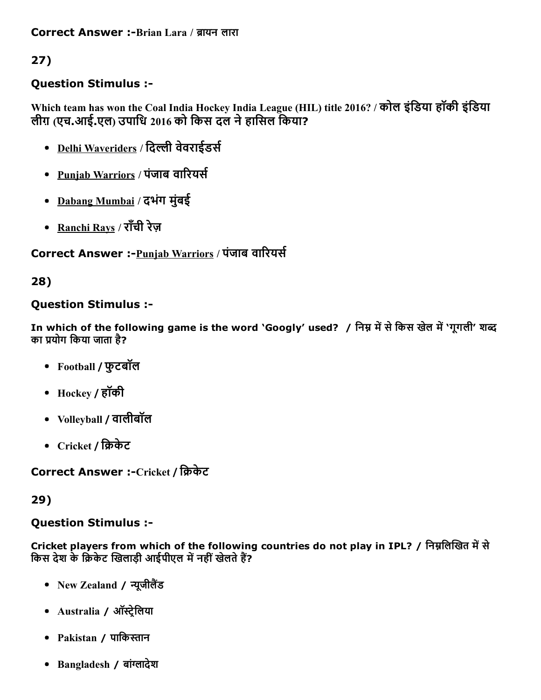## Question Stimulus :

Which team has won the Coal India Hockey India League (HIL) title 2016? / कोल इंडिया हॉकी इंडिया लीग़ (एच.आई.एल) उपािध 2016 को िकस दल नेहािसल िकया?

- Delhi Waveriders / दिल्ली वेवराईडर्स
- Punjab Warriors / पंजाब वारियर्स
- Dabang Mumbai / दभंग मुंबई
- Ranchi Rays / राँची रेज़

# Correct Answer :- Punjab Warriors / पंजाब वारियर्स

## 28)

## Question Stimulus :

In which of the following game is the word 'Googly' used? / निम्न में से किस खेल में 'गुगली' शब्द का प्रयोग किया जाता है?

- Football / फुटबॉल
- Hockey / हॉकी
- Volleyball / वालीबॉल
- Cricket / क्रिकेट

Correct Answer :-Cricket / क्रिकेट

## 29)

## Question Stimulus :

Cricket players from which of the following countries do not play in IPL? / निम्नलिखित में से किस देश के क्रिकेट खिलाड़ी आईपीएल में नहीं खेलते हैं?

- New Zealand / न्यूजीलैंड
- Australia / ऑस्ट्रेलिया
- Pakistan / पािकהּान
- Bangladesh / बांग्लादेश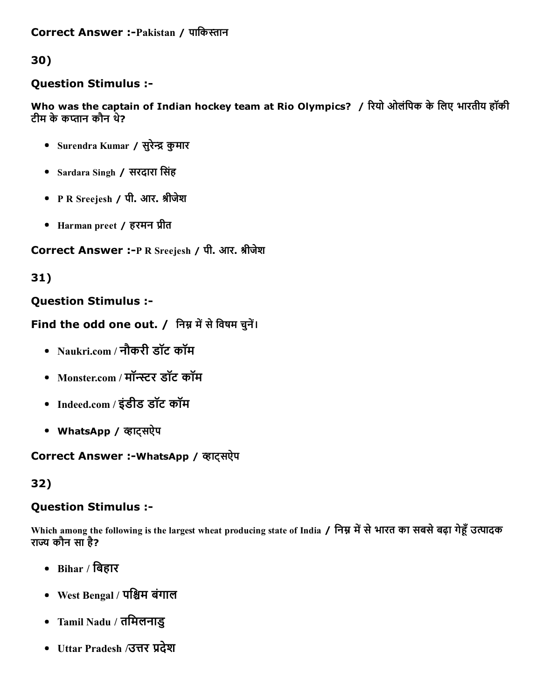### Question Stimulus :

Who was the captain of Indian hockey team at Rio Olympics? / रियो ओलंपिक के लिए भारतीय हॉकी टीम के कप्तान कौन थे?

- Surendra Kumar / सुरेन्द्र कुमार
- Sardara Singh / सरदारा िसंह
- P R Sreejesh / पी. आर. श्रीजेश
- Harman preet / हरमन प्रीत

#### Correct Answer :- P R Sreejesh / पी. आर. श्रीजेश

### 31)

### Question Stimulus :

### Find the odd one out. / निम्न में से विषम चुनें।

- Naukri.com / नौकरी डॉट कॉम
- Monster.com / मॉन्स्टर डॉट कॉम
- Indeed.com / इंडीड डॉट कॉम
- WhatsApp / व्हाट्सऐप

#### Correct Answer :- WhatsApp / व्हाट्सऐप

#### 32)

#### Question Stimulus :

Which among the following is the largest wheat producing state of India / निम्न में से भारत का सबसे बढ़ा गेहूँ उत्पादक राज्य कौन सा है?

- $\bullet$  Bihar / बिहार
- West Bengal / पश्चिम बंगाल
- Tamil Nadu / तिमलनाडु
- Uttar Pradesh /उत्तर प्रदेश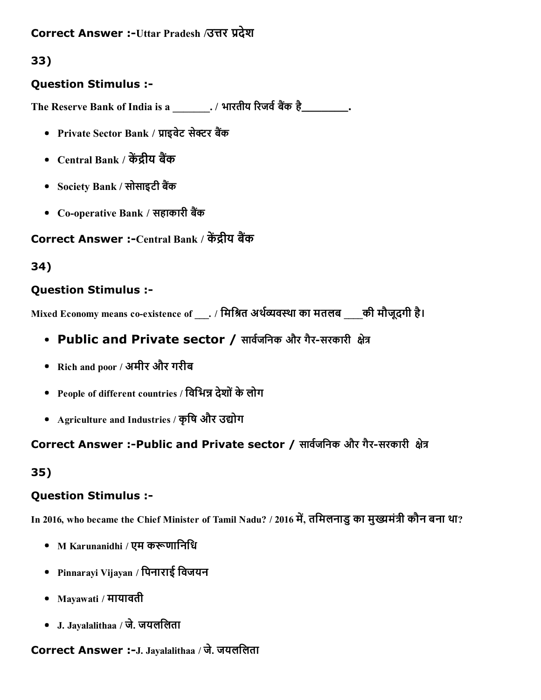## Correct Answer :-Uttar Pradesh /उत्तर प्रदेश

## 33)

### Question Stimulus :

The Reserve Bank of India is a \_\_\_\_\_\_\_. / भारतीय रिजर्व बैंक है\_\_\_\_\_\_\_\_\_.

- Private Sector Bank / प्राइवेट सेक्टर बैंक
- Central Bank / केंद्रीय बैंक
- Society Bank / सोसाइटी बैंक
- Co-operative Bank / सहाकारी बैंक

## Correct Answer :-Central Bank / केंद्रीय बैंक

## 34)

### Question Stimulus :

Mixed Economy means co-existence of ... / मिश्रित अर्थव्यवस्था का मतलब ... की मौजूदगी है।

- Public and Private sector / सार्वजनिक और गैर-सरकारी क्षेत्र
- Rich and poor / अमीर और गरीब
- People of different countries / विभिन्न देशों के लोग
- Agriculture and Industries / कृषि और उद्योग

## Correct Answer :-Public and Private sector / सार्वजनिक और गैर-सरकारी क्षेत्र

## 35)

## Question Stimulus :

In 2016, who became the Chief Minister of Tamil Nadu? / 2016 में, तमिलनाडु का मुख्यमंत्री कौन बना था?

- M Karunanidhi / एम करूणानिधि
- Pinnarayi Vijayan / िपनाराई िवजयन
- Mayawati / मायावती
- J. Jayalalithaa / जे. जयलिलता

## Correct Answer :- J. Jayalalithaa / जे. जयललिता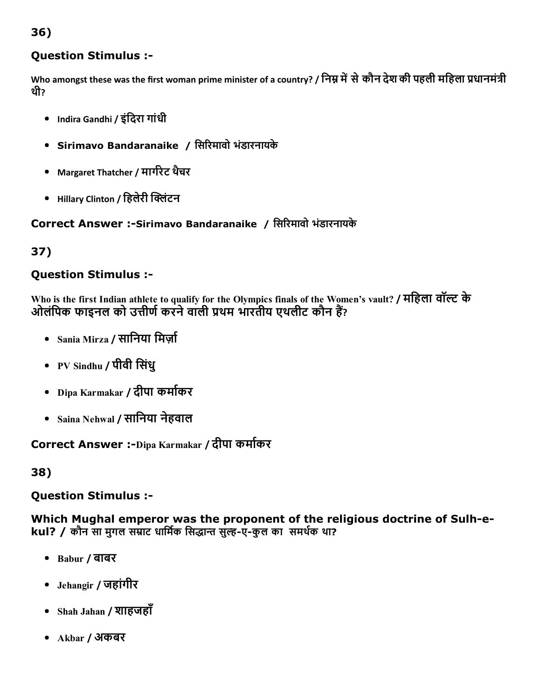## Question Stimulus :

Who amongst these was the first woman prime minister of a country? / निम्न में से कौन देश की पहली महिला प्रधानमंत्री थी?

- Indira Gandhi / इंिदरा गांधी
- Sirimavo Bandaranaike / िसδरमावो भंडारनायके
- Margaret Thatcher / मार्गरेट थैचर
- Hillary Clinton / हिलेरी क्लिंटन

Correct Answer :-Sirimavo Bandaranaike / सिरिमावो भंडारनायके

## 37)

## Question Stimulus :

Who is the first Indian athlete to qualify for the Olympics finals of the Women's vault? / महिला वॉल्ट के ओलंपिक फाइनल को उत्तीर्ण करने वाली प्रथम भारतीय एथलीट कौन हैं?

- Sania Mirza / सानिया मिर्जा
- PV Sindhu / पीवी िसंधु
- Dipa Karmakar / दीपा कमा└कर
- Saina Nehwal / सािनया नेहवाल

Correct Answer :-Dipa Karmakar / दीपा कर्माकर

38)

Question Stimulus :

Which Mughal emperor was the proponent of the religious doctrine of Sulh-ekul? / कौन सा मुगल सम्राट धार्मिक सिद्धान्त सुल्ह-ए-कुल का समर्थक था?

- Babur / बाबर
- Jehangir / जहांगीर
- Shah Jahan / शाहजहाँ
- Akbar / अकबर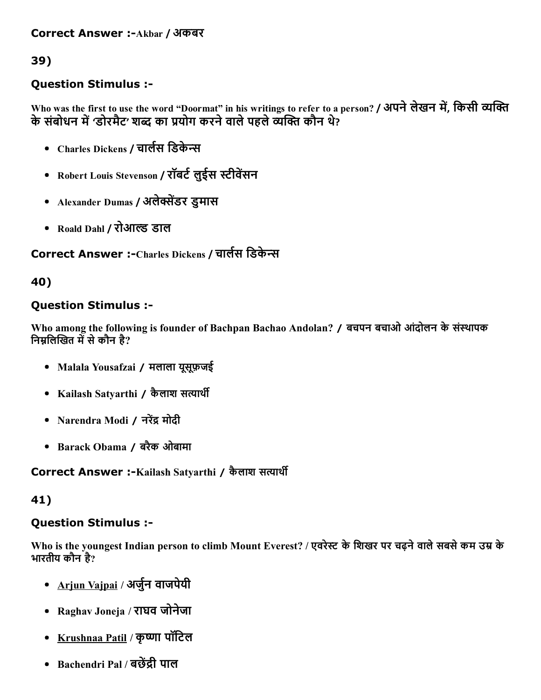### Question Stimulus :

Who was the first to use the word "Doormat" in his writings to refer to a person? / अपने लेखन में, किसी व्यक्ति के संबोधन में 'डोरमैट' शब्द का प्रयोग करने वाले पहले व्यक्ति कौन थे?

- Charles Dickens / चार्लस डिकेन्स
- Robert Louis Stevenson / रॉबर्ट लुईस स्टीवेंसन
- Alexander Dumas / अलेक्सेंडर डुमास
- Roald Dahl / रोआल्ड डाल

Correct Answer :-Charles Dickens / चार्लस डिकेन्स

#### 40)

### Question Stimulus :

Who among the following is founder of Bachpan Bachao Andolan? / बचपन बचाओ आंदोलन के संस्थापक निम्नलिखित में से कौन है?

- Malala Yousafzai / मलाला यूसूफ़जई
- Kailash Satvarthi / कैलाश सत्यार्थी
- Narendra Modi / नरेंद्र मोदी
- Barack Obama / बरैक ओबामा

Correct Answer :-Kailash Satyarthi / कैलाश सत्यार्थी

#### 41)

#### Question Stimulus :

Who is the youngest Indian person to climb Mount Everest? / एवरेस्ट के शिखर पर चढ़ने वाले सबसे कम उम्र के भारतीय कौन है?

- Arjun Vaipai / अर्जुन वाजपेयी
- Raghav Joneja / राघव जोनेजा
- Krushnaa Patil / कृष्णा पॉटिल
- Bachendri Pal / बछेंद्री पाल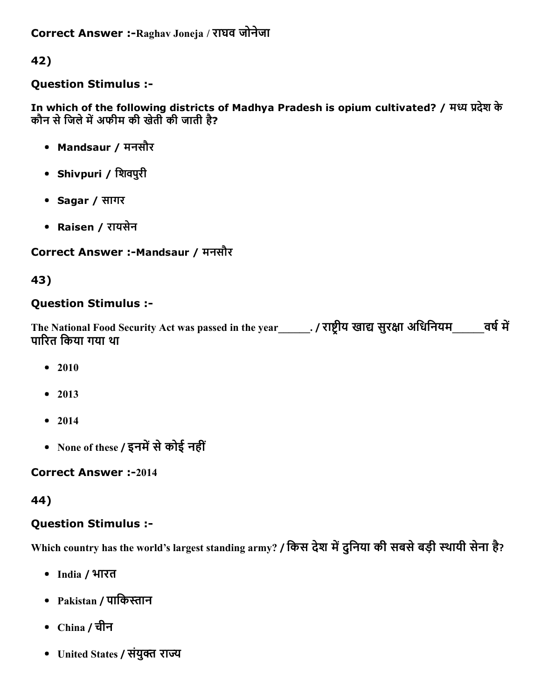Correct Answer :-Raghav Joneja / राघव जोनेजा

42)

### Question Stimulus :

In which of the following districts of Madhya Pradesh is opium cultivated? / मध्य प्रदेश के कौन से जिले में अफीम की खेती की जाती है?

- Mandsaur / मनसौर
- Shivpuri / िशवपुरी
- Sagar / सागर
- Raisen / रायसेन

## Correct Answer :-Mandsaur / मनसौर

43)

## Question Stimulus :

The National Food Security Act was passed in the year\_\_\_\_\_\_. / राष्ट्रीय खाद्य सुरक्षा अधिनियम\_\_\_\_\_\_\_ वर्ष में पाδरत िकया गया था

- 2010
- $2013$
- $2014$
- None of these / इनमें से कोई नहीं

## **Correct Answer :-2014**

## 44)

## Question Stimulus :

Which country has the world's largest standing army? / किस देश में दुनिया की सबसे बड़ी स्थायी सेना है?

- India / भारत
- Pakistan / पाकिस्तान
- China / चीन
- United States / संयुक्त राज्य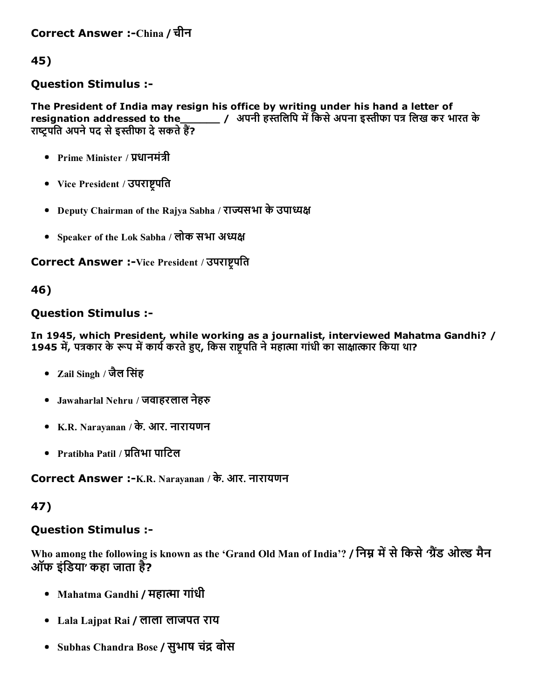### Question Stimulus :

The President of India may resign his office by writing under his hand a letter of resignation addressed to the\_\_\_\_\_\_\_ / अपनी हस्तलिपि में किसे अपना इस्तीफा पत्र लिख कर भारत के राष्ट्रपति अपने पद से इस्तीफा दे सकते हैं?

- Prime Minister / प्रधानमंत्री
- Vice President / उपराष्ट्रपति
- Deputy Chairman of the Rajya Sabha / राज्यसभा के उपाध्यक्ष
- Speaker of the Lok Sabha / लोक सभा अध्यक्ष

Correct Answer :-Vice President / उपराष्ट्रपति

### 46)

### Question Stimulus :

In 1945, which President, while working as a journalist, interviewed Mahatma Gandhi? / 1945 में, पत्रकार के रूप में कार्य करते हुए, किस राष्ट्रपति ने महात्मा गांधी का साक्षात्कार किया था?

- Zail Singh / जैल िसंह
- Jawaharlal Nehru / जवाहरलाल नेहरु
- K.R. Narayanan / के. आर. नारायणन
- Pratibha Patil / प्रतिभा पाटिल

Correct Answer :-K.R. Narayanan / के. आर. नारायणन

#### 47)

## Question Stimulus :

Who among the following is known as the 'Grand Old Man of India'? / निम्न में से किसे 'ग्रैंड ओल्ड मैन ऑफ इंडिया' कहा जाता है?

- Mahatma Gandhi / महात्मा गांधी
- Lala Lajpat Rai / लाला लाजपत राय
- Subhas Chandra Bose / सुभाष चंद्र बोस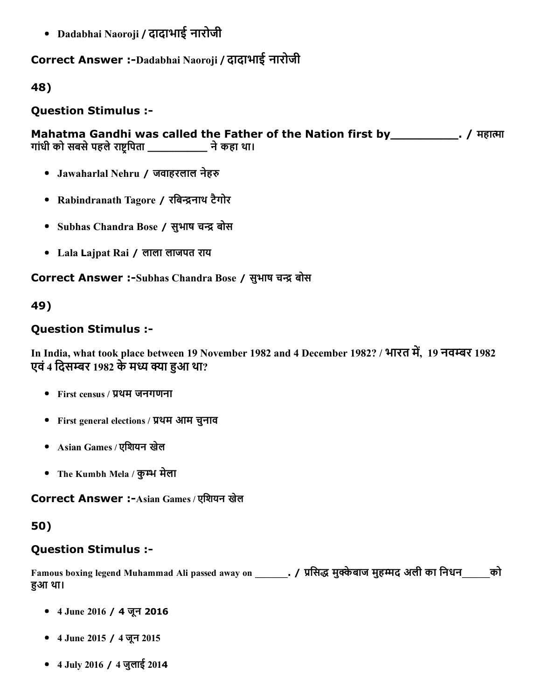Dadabhai Naoroji / दादाभाई नारोजी

## Correct Answer :-Dadabhai Naoroji / दादाभाई नारोजी

### 48)

Question Stimulus :

Mahatma Gandhi was called the Father of the Nation first by \_\_\_\_\_\_\_\_\_\_\_\_. / महात्मा गांधी को सबसे पहले राष्ट्रपिता \_\_\_\_\_\_\_\_\_\_\_\_ ने कहा था।

- Jawaharlal Nehru / जवाहरलाल नेहरु
- Rabindranath Tagore / रबिन्द्रनाथ टैगोर
- Subhas Chandra Bose / सुभाष चन्द्र बोस
- Lala Lajpat Rai / लाला लाजपत राय

Correct Answer :-Subhas Chandra Bose / सुभाष चन्द्र बोस

## 49)

## Question Stimulus :

In India, what took place between 19 November 1982 and 4 December 1982? / भारत में, 19 नवम्बर 1982 एवं 4 दिसम्बर 1982 के मध्य क्या हुआ था?

- $\bullet$  First census / प्रथम जनगणना
- First general elections / प्रथम आम चुनाव
- Asian Games / एिशयन खेल
- The Kumbh Mela / कुम्भ मेला

Correct Answer :-Asian Games / एशियन खेल

## 50)

## Question Stimulus :

Famous boxing legend Muhammad Ali passed away on ... / प्रसिद्ध मुक्केबाज मुहम्मद अली का निधन को हआ था।

- 4 June 2016 / 4 जून 2016
- 4 June 2015 / 4 जून 2015
- 4 July 2016 / 4 जुलाई 2014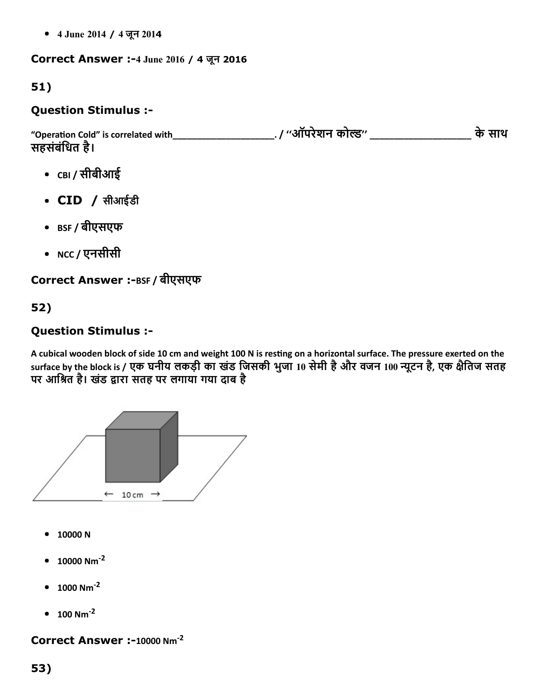4 June 2014 / 4 जून 2014

#### Correct Answer :4 June 2016 / 4 जून 2016

## 51)

### Question Stimulus :

"Operaĕon Cold" is correlated with\_\_\_\_\_\_\_\_\_\_\_\_\_\_\_\_\_\_\_\_\_. / ''ऑपरेशन कोֵ'' \_\_\_\_\_\_\_\_\_\_\_\_\_\_\_\_\_\_\_\_\_ केसाथ सहसंबंिधत है।

- CBI / सीबीआई
- CID / सीआईडी
- BSF / बीएसएफ
- NCC / एनसीसी

## Correct Answer :-BSF / बीएसएफ

## 52)

## Question Stimulus :

A cubical wooden block of side 10 cm and weight 100 N is resting on a horizontal surface. The pressure exerted on the surface by the block is / एक घनीय लकड़ी का खंड जिसकी भुजा 10 सेमी है और वजन 100 न्यूटन है, एक क्षैतिज सतह पर आश्रित है। खंड द्वारा सतह पर लगाया गया दाब है



- 10000 N
- 10000 Nm ‐2
- 1000 Nm ‐2
- $100$  Nm<sup>-2</sup>

#### Correct Answer :-10000 Nm<sup>-2</sup>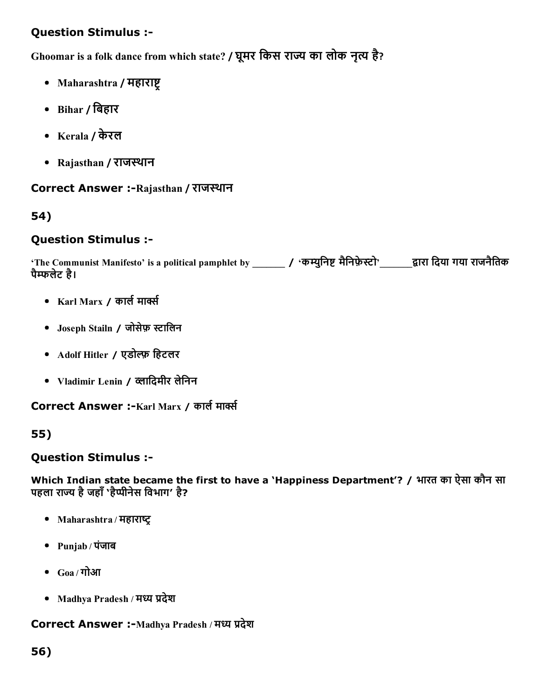## Question Stimulus :

Ghoomar is a folk dance from which state? / घूमर किस राज्य का लोक नृत्य है?

- Maharashtra / महाराष्ट
- Bihar / िबहार
- Kerala / केरल
- Rajasthan / राजस्थान

#### Correct Answer :-Rajasthan / राजस्थान

### 54)

#### Question Stimulus :

'The Communist Manifesto' is a political pamphlet by \_\_\_\_\_\_\_ / 'कम्युनिष्ट मैनिफ़ेस्टो'\_\_\_\_\_\_द्वारा दिया गया राजनैतिक पैگफलेट है।

- Karl Marx / कार्ल मार्क्स
- Joseph Stailn / जोसेफ़ स्टालिन
- Adolf Hitler / एडोल्फ़ हिटलर
- Vladimir Lenin / व्लादिमीर लेनिन

Correct Answer :-Karl Marx / कार्ल मार्क्स

#### 55)

#### Question Stimulus :

Which Indian state became the first to have a 'Happiness Department'? / भारत का ऐसा कौन सा पहला राज्य है जहाँ 'हैप्पीनेस विभाग' है?

- Maharashtra / महाराष्ट्र
- Punjab / पंजाब
- $\bullet$  Goa / गोआ
- Madhya Pradesh / मध्य प्रदेश

### Correct Answer :-Madhya Pradesh / मध्य प्रदेश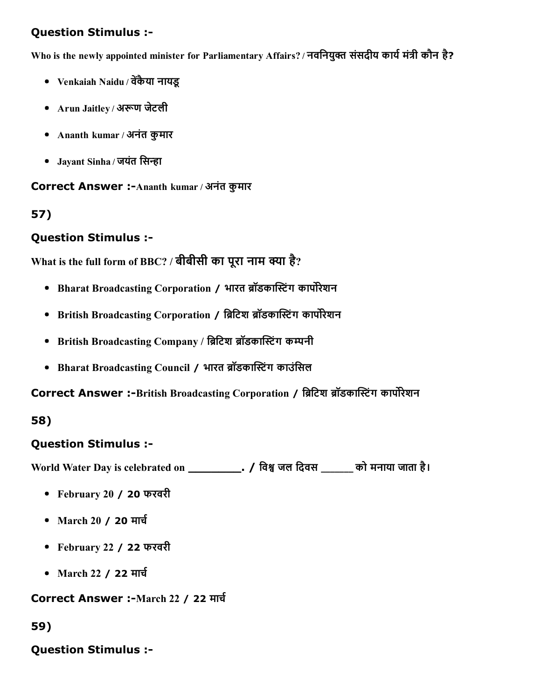## Question Stimulus :

Who is the newly appointed minister for Parliamentary Affairs? / नवनियुक्त संसदीय कार्य मंत्री कौन है?

- Venkaiah Naidu / वेंकैया नायडू
- Arun Jaitley / अरूण जेटली
- Ananth kumar / अनंत कुमार
- Jayant Sinha / जयंत सिन्हा

Correct Answer :-Ananth kumar / अनंत कुमार

### 57)

## Question Stimulus :

```
What is the full form of BBC? / बीबीसी का पूरा नाम क्या है? \,
```
- Bharat Broadcasting Corporation / भारत ब्रॉडकास्टिंग कार्पोरेशन
- British Broadcasting Corporation / ब्रिटिश ब्रॉडकास्टिंग कार्पोरेशन
- British Broadcasting Company / ब्रिटिश ब्रॉडकास्टिंग कम्पनी
- Bharat Broadcasting Council / भारत ब्रॉडकास्टिंग काउंसिल

Correct Answer :-British Broadcasting Corporation / ब्रिटिश ब्रॉडकास्टिंग कार्पोरेशन

#### 58)

## Question Stimulus :

World Water Day is celebrated on \_\_\_\_\_\_\_. / िवק जल िदवस \_\_\_\_\_\_\_ को मनाया जाता है।

- February 20 / 20 फरवरी
- March 20 / 20 मार्च
- February 22 / 22 फरवरी
- March 22 / 22 मार्च

#### Correct Answer :-March 22 / 22 मार्च

#### 59)

#### Question Stimulus :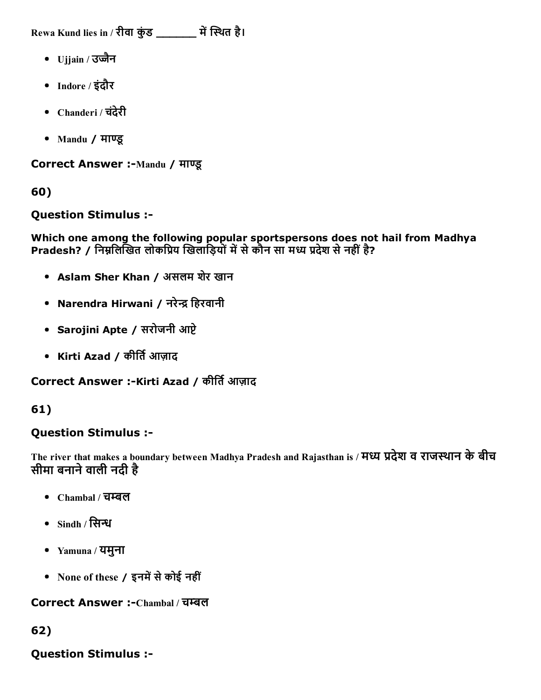Rewa Kund lies in / रीवा कुंड \_\_\_\_\_\_\_ में स्थित है।

- Ujjain / उज्जैन
- Indore / इंदौर
- Chanderi / चदंेरी
- Mandu / माΏू

Correct Answer :-Mandu / माण्डू

60)

Question Stimulus :

Which one among the following popular sportspersons does not hail from Madhya Pradesh? / निम्नलिखित लोकप्रिय खिलाड़ियों में से कौन सा मध्य प्रदेश से नहीं है?

- Aslam Sher Khan / असलम शेर खान
- Narendra Hirwani / नरेन्द्र हिरवानी
- Sarojini Apte / सरोजनी आप्टे
- Kirti Azad / कीर्ति आज़ाद

Correct Answer :-Kirti Azad / कीर्ति आज़ाद

61)

# Question Stimulus :

The river that makes a boundary between Madhya Pradesh and Rajasthan is / मध्य प्रदेश व राजस्थान के बीच सीमा बनाने वाली नदी है

- $\bullet$  Chambal / चम्बल
- $\bullet$  Sindh / सिन्ध
- Yamuna / यमुना
- None of these / इनमें से कोई नहीं

Correct Answer :-Chambal / चम्बल

62)

Question Stimulus :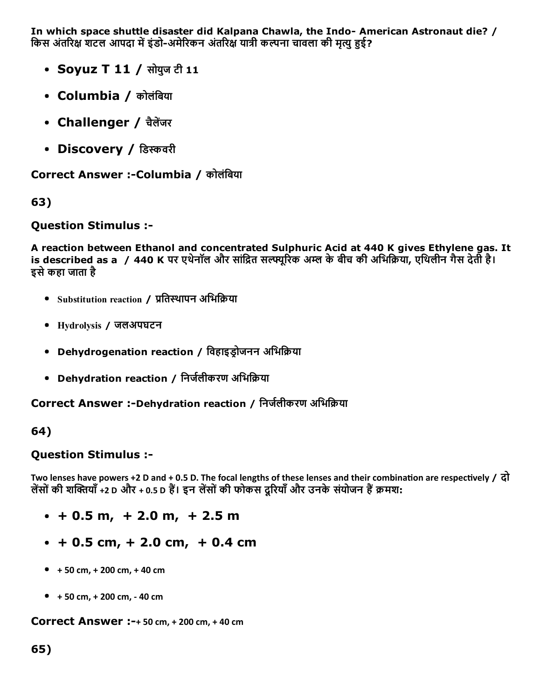In which space shuttle disaster did Kalpana Chawla, the Indo- American Astronaut die? / किस अंतरिक्ष शटल आपदा में इंडो-अमेरिकन अंतरिक्ष यात्री कल्पना चावला की मृत्यु हुई?

- Soyuz T 11 / सोयुज टी 11
- Columbia / कोलंबिया
- Challenger / चैलेंजर
- Discovery / डिस्कवरी

Correct Answer :-Columbia / कोलंबिया

63)

## Question Stimulus :

A reaction between Ethanol and concentrated Sulphuric Acid at 440 K gives Ethylene gas. It is described as a / 440 K पर एथेनॉल और सांद्रित सल्फ्यूरिक अम्ल के बीच की अभिक्रिया, एथिलीन गैस देती है। इसेकहा जाता है

- Substitution reaction / प्रतिस्थापन अभिक्रिया
- Hydrolysis / जलअपघटन
- Dehydrogenation reaction / विहाइडोजनन अभिक्रिया
- Dehydration reaction / निर्जलीकरण अभिक्रिया

Correct Answer :-Dehydration reaction / निर्जलीकरण अभिक्रिया

## 64)

## Question Stimulus :

Two lenses have powers +2 D and + 0.5 D. The focal lengths of these lenses and their combination are respectively /  $\vec{q}$ लेंसों की शक्तियाँ +2 D और + 0.5 D हैं। इन लेंसों की फोकस दूरियाँ और उनके संयोजन हैं क्रमश:

- + 0.5 m, + 2.0 m, + 2.5 m
- + 0.5 cm, + 2.0 cm, + 0.4 cm
- $+ 50$  cm,  $+ 200$  cm,  $+ 40$  cm
- $+ 50$  cm,  $+ 200$  cm,  $40$  cm

Correct Answer :+ 50 cm, + 200 cm, + 40 cm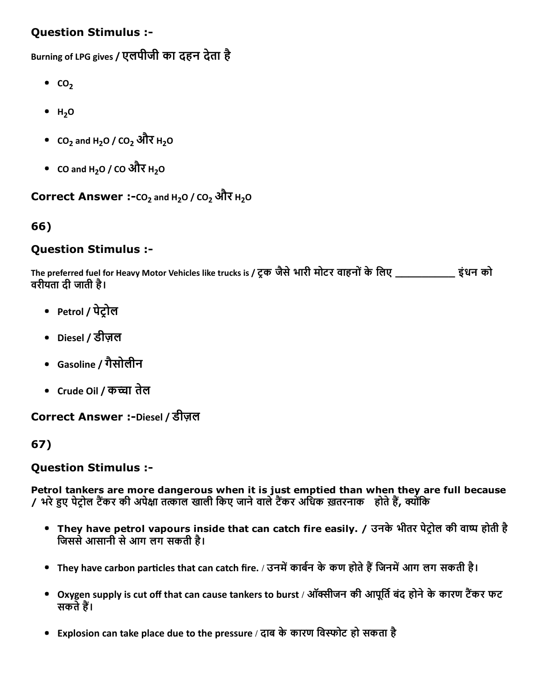## Question Stimulus :

Burning of LPG gives / एलपीजी का दहन देता है

- $\bullet$  CO<sub>2</sub>
- $H<sub>2</sub>O$
- CO<sub>2</sub> and H<sub>2</sub>O / CO<sub>2</sub> और H<sub>2</sub>O
- CO and H<sub>2</sub>O / CO और H<sub>2</sub>O

## Correct Answer :- $CO<sub>2</sub>$  and H<sub>2</sub>O /  $CO<sub>2</sub>$  और H<sub>2</sub>O

## 66)

### Question Stimulus :

The preferred fuel for Heavy Motor Vehicles like trucks is / ट्रक जैसे भारी मोटर वाहनों के लिए \_\_\_\_\_\_\_\_\_\_\_ इंधन को वरीयता दी जाती है।

- Petrol / पेट्रोल
- Diesel / डीज़ल
- Gasoline / गैसोलीन
- Crude Oil / कच्चा तेल

Correct Answer :-Diesel / डीज़ल

## 67)

## Question Stimulus :

Petrol tankers are more dangerous when it is just emptied than when they are full because / भरे हुए पेट्रोल टैंकर की अपेक्षा तत्काल खाली किए जाने वाले टैंकर अधिक ख़तरनाक ) होते हैं, क्योंकि

- They have petrol vapours inside that can catch fire easily. / उनके भीतर पेट्रोल की वाष्प होती है िजससेआसानी सेआग लग सकती है।
- They have carbon particles that can catch fire. / उनमें कार्बन के कण होते हैं जिनमें आग लग सकती है।
- Oxygen supply is cut off that can cause tankers to burst / ऑक्सीजन की आपूर्ति बंद होने के कारण टैंकर फट सकते हैं।
- Explosion can take place due to the pressure / दाब के कारण विस्फोट हो सकता है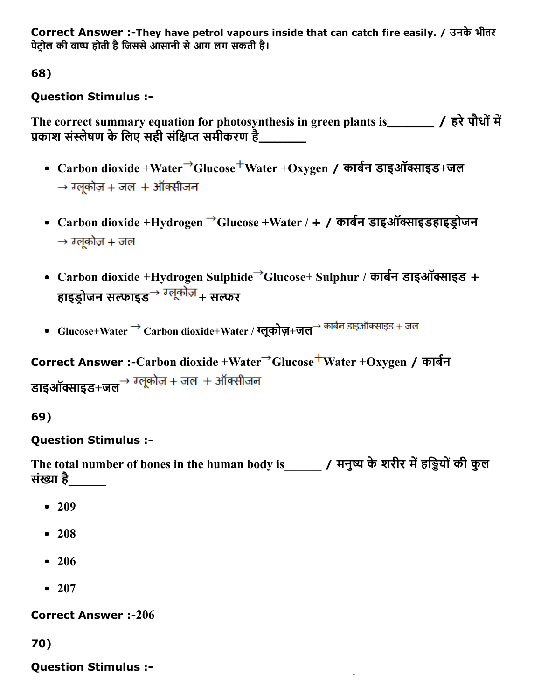Correct Answer :-They have petrol vapours inside that can catch fire easily. / उनके भीतर पेट्रोल की वाष्प होती है जिससे आसानी से आग लग सकती है।

68)

# Question Stimulus :

The correct summary equation for photosynthesis in green plants is\_\_\_\_\_\_ / हरे पौधों में प्रकाश संस्लेषण के लिए सही संक्षिप्त समीकरण है

- Carbon dioxide +Water<sup>→</sup>Glucose<sup>+</sup>Water +Oxygen / कार्बन डाइऑक्साइड+जल  $\rightarrow$  ग्लूकोज़ + जल + ऑक्सीजन
- Carbon dioxide +Hydrogen  $\rightarrow$ Glucose +Water / + / कार्बन डाइऑक्साइडहाइड़ोजन  $\rightarrow$  ग्लुकोज़ + जल
- Carbon dioxide +Hydrogen Sulphide<sup>→</sup>Glucose+ Sulphur / कार्बन डाइऑक्साइड + हाइडोजन सल्फाइड $\rightarrow$  ग्लूकोज़  $_+$  सल्फर
- Glucose+Water  $\rightarrow$  Carbon dioxide+Water / ग्लूकोज़+जल $\rightarrow$  कार्बन डाइऑक्साइड + जल

Correct Answer :-Carbon dioxide +Water<sup>→</sup>Glucose<sup>+</sup>Water +Oxygen / कार्बन डाइऑक्साइड+जल $\rightarrow$  ग्लूकोज़ + जल + ऑक्सीजन

69)

# Question Stimulus :

The total number of bones in the human body is\_\_\_\_\_\_\_ / मनुष्य के शरीर में हड़ियों की कुल संġा है\_\_\_\_\_\_

- 209
- 208
- 206
- $207$

**Correct Answer :-206** 

70)

Question Stimulus :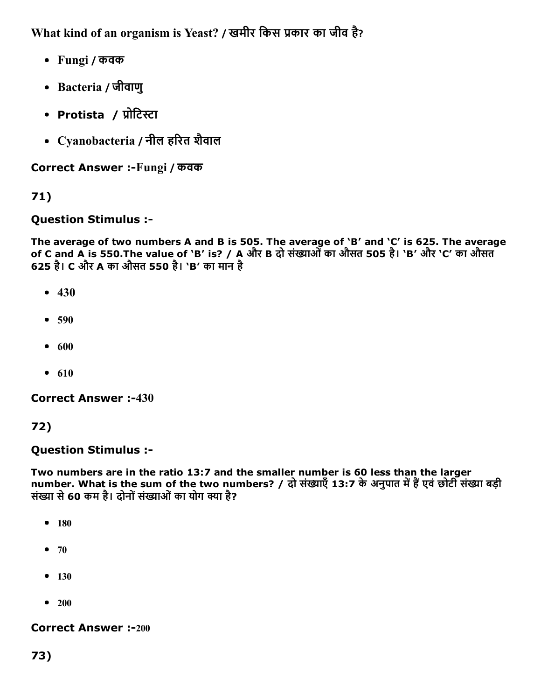What kind of an organism is Yeast? / खमीर किस प्रकार का जीव है?

- Fungi / कवक
- Bacteria / जीवाणु
- Protista / प्रोटिस्टा
- Cyanobacteria / नील हδरत शैवाल

Correct Answer :-Fungi / कवक

# 71)

## Question Stimulus :

The average of two numbers A and B is 505. The average of 'B' and 'C' is 625. The average of C and A is 550.The value of 'B' is? / A और B दो संġाओंका औसत 505 है। 'B' और 'C' का औसत 625 है। C और A का औसत 550 है। 'B' का मान है

- $-430$
- $590$
- $600$
- $610$

**Correct Answer :-430** 

## 72)

## Question Stimulus :

Two numbers are in the ratio 13:7 and the smaller number is 60 less than the larger number. What is the sum of the two numbers? / दो संख्याएँ 13:7 के अनुपात में हैं एवं छोटी संख्या बड़ी संख्या से 60 कम है। दोनों संख्याओं का योग क्या है?

- $180$
- $70$
- $130$
- $\bullet$  200

#### **Correct Answer :-200**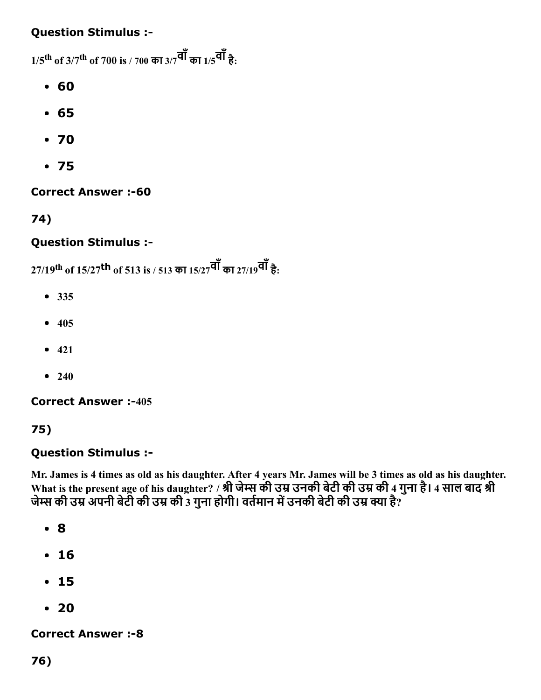## Question Stimulus :

 $1/5^{\rm th}$  of 3/7 $^{\rm th}$  of 700 is / 700 का 3/7 $^{\rm q\bar{q}}$  का 1/5 $^{\rm q\bar{q}}$  है:

- 60
- 65
- 70
- 75

**Correct Answer :-60** 

74)

# Question Stimulus :

27/19<sup>th</sup> of 15/27<sup>th</sup> of 513 is / 513 का 15/27<sup>वां</sup> का 27/19<sup>वां</sup> है:

- 335
- $405$
- $421$
- $240$

**Correct Answer :-405** 

# 75)

## Question Stimulus :

Mr. James is 4 times as old as his daughter. After 4 years Mr. James will be 3 times as old as his daughter. What is the present age of his daughter? / श्री जेम्स की उम्र उनकी बेटी की उम्र की 4 गुना है। 4 साल बाद श्री जेम्स की उम्र अपनी बेटी की उम्र की 3 गुना होगी। वर्तमान में उनकी बेटी की उम्र क्या है?

- 8
- 16
- 15
- 20

**Correct Answer :-8**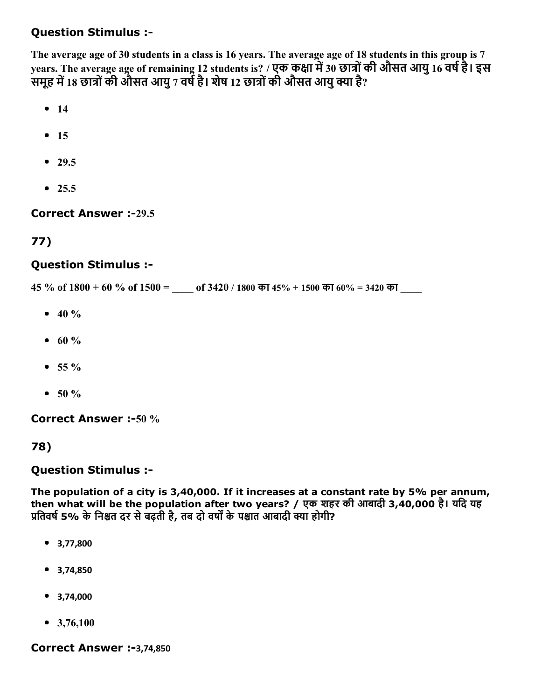## Question Stimulus :

The average age of 30 students in a class is 16 years. The average age of 18 students in this group is 7 years. The average age of remaining 12 students is? / एक कक्षा में 30 छात्रों की औसत आयु 16 वर्ष है। इस समूह में 18 छात्रों की औसत आयु 7 वर्ष है। शेष 12 छात्रों की औसत आयु क्या है?

- $14$
- $15$
- $29.5$
- $25.5$

#### **Correct Answer :-29.5**

## 77)

#### Question Stimulus :

 $45\%$  of  $1800 + 60\%$  of  $1500 =$  of  $3420 / 1800$  का  $45\% + 1500$  का  $60\% = 3420$  का

- $40 \%$
- $60 \%$
- $55 \%$
- $50 \%$

Correct Answer :-50 %

#### 78)

#### Question Stimulus :

The population of a city is 3,40,000. If it increases at a constant rate by 5% per annum, then what will be the population after two years? / एक शहर की आबादी 3,40,000 है। यिद यह प्रतिवर्ष 5% के निश्चत दर से बढ़ती है, तब दो वर्षों के पश्चात आबादी क्या होगी?

- 3,77,800
- 3,74,850
- 3,74,000
- $\bullet$  3,76,100

#### Correct Answer :-3,74,850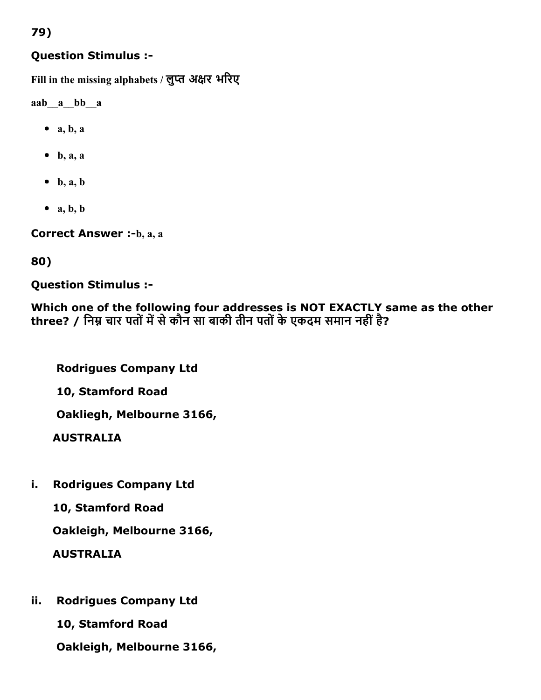### Question Stimulus :

Fill in the missing alphabets / लुप्त अक्षर भरिए

aab\_\_a\_\_bb\_\_a

- $\bullet$  a, b, a
- $\bullet$  b, a, a
- $\bullet$  b, a, b
- $\bullet$  a, b, b

Correct Answer :-b, a, a

80)

Question Stimulus :

Which one of the following four addresses is NOT EXACTLY same as the other three? / निम्न चार पतों में से कौन सा बाकी तीन पतों के एकदम समान नहीं है?

Rodrigues Company Ltd

10, Stamford Road

Oakliegh, Melbourne 3166,

AUSTRALIA

i. Rodrigues Company Ltd

10, Stamford Road

Oakleigh, Melbourne 3166,

AUSTRALIA

ii. Rodrigues Company Ltd

10, Stamford Road

Oakleigh, Melbourne 3166,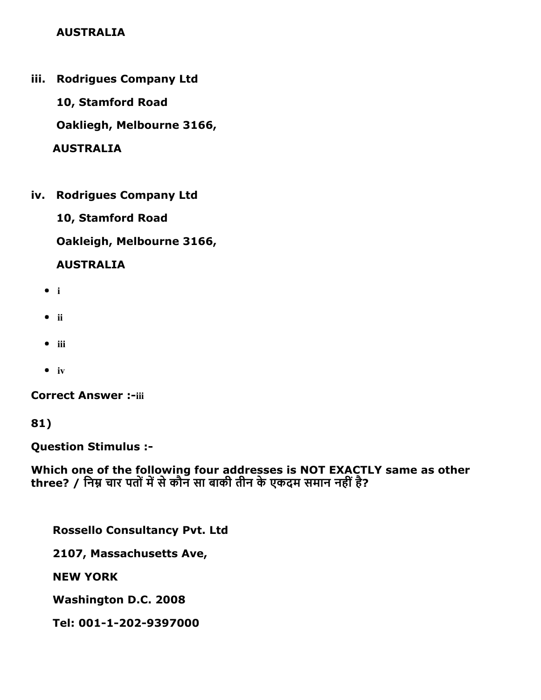### AUSTRALIA

iii. Rodrigues Company Ltd

10, Stamford Road

Oakliegh, Melbourne 3166,

AUSTRALIA

iv. Rodrigues Company Ltd

10, Stamford Road

Oakleigh, Melbourne 3166,

### AUSTRALIA

- i
- $\bullet$  ii
- $\bullet$  iii
- $\bullet$  iv

**Correct Answer :-iii** 

81)

Question Stimulus :

Which one of the following four addresses is NOT EXACTLY same as other three? / निम्न चार पतों में से कौन सा बाकी तीन के एकदम समान नहीं है?

Rossello Consultancy Pvt. Ltd

2107, Massachusetts Ave,

NEW YORK

Washington D.C. 2008

Tel: 001-1-202-9397000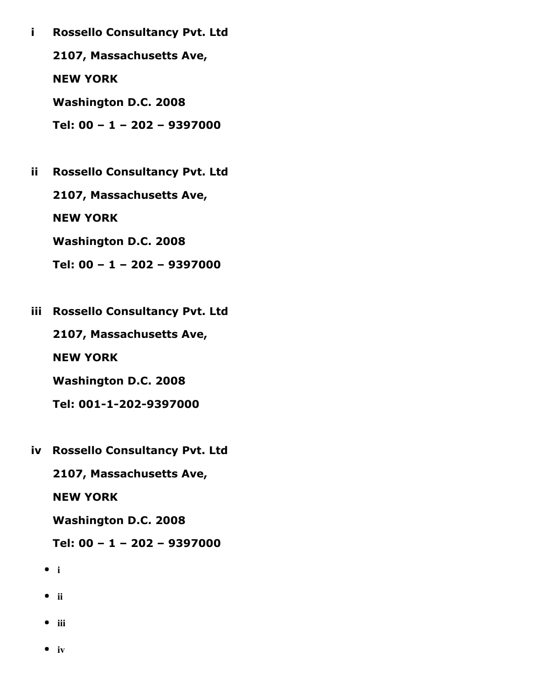i Rossello Consultancy Pvt. Ltd

2107, Massachusetts Ave,

NEW YORK

Washington D.C. 2008

Tel: 00 – 1 – 202 – 9397000

ii Rossello Consultancy Pvt. Ltd 2107, Massachusetts Ave, NEW YORK Washington D.C. 2008

Tel: 00 – 1 – 202 – 9397000

iii Rossello Consultancy Pvt. Ltd

2107, Massachusetts Ave,

NEW YORK

Washington D.C. 2008

Tel: 001-1-202-9397000

iv Rossello Consultancy Pvt. Ltd

2107, Massachusetts Ave,

NEW YORK

Washington D.C. 2008

Tel: 00 – 1 – 202 – 9397000

 $\bullet$  i

- $\bullet$  ii
- $\bullet$  iii
- $\bullet$  iv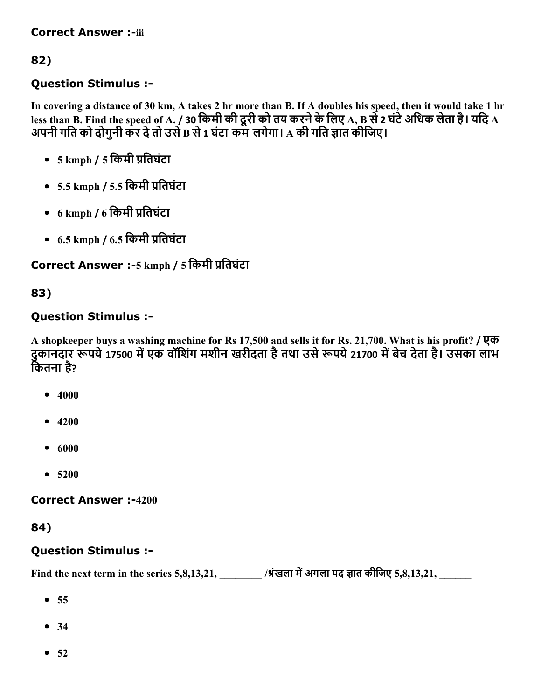#### **Correct Answer :-iii**

# 82)

## Question Stimulus :

In covering a distance of 30 km, A takes 2 hr more than B. If A doubles his speed, then it would take 1 hr less than B. Find the speed of A. / 30 किमी की दूरी को तय करने के लिए A, B से 2 घंटे अधिक लेता है। यदि A अपनी गति को दोगुनी कर दे तो उसे B से 1 घंटा कम लगेगा। A की गति ज्ञात कीजिए।

- $\bullet$  5 kmph / 5 किमी प्रतिघंटा
- $-5.5$  kmph / 5.5 किमी प्रतिघंटा
- $6 \text{ kmph } / 6$  किमी प्रतिघंटा
- $-6.5$  kmph /  $6.5$  किमी प्रतिघंटा

### Correct Answer :-5 kmph / 5 किमी प्रतिघंटा

### 83)

#### Question Stimulus :

A shopkeeper buys a washing machine for Rs 17,500 and sells it for Rs. 21,700. What is his profit? / एक दुकानदार रूपये 17500 में एक वॉशिंग मशीन खरीदता है तथा उसे रूपये 21700 में बेच देता है। उसका लाभ कितना है?

- $4000$
- $4200$
- $-6000$
- 5200

**Correct Answer :-4200** 

#### 84)

#### Question Stimulus :

Find the next term in the series 5,8,13,21, \_\_\_\_\_\_\_\_ /श्रंखला में अगला पद ज्ञात कीजिए 5,8,13,21, \_\_\_\_\_\_\_\_\_\_\_\_\_

- $55$
- 34
- $52$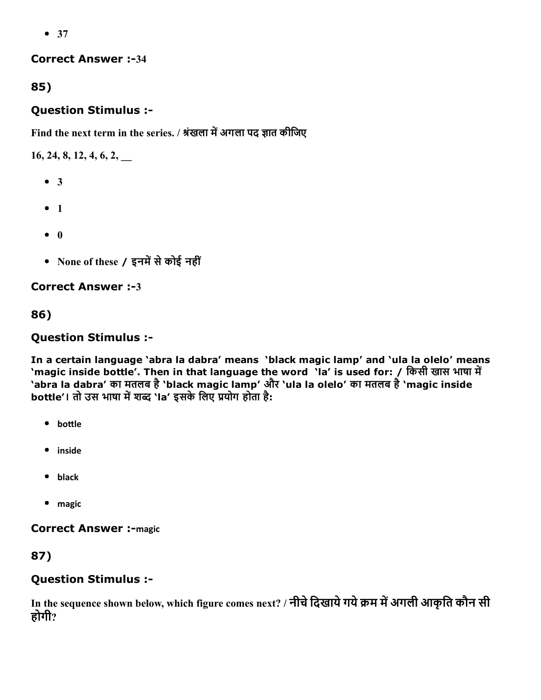$• 37$ 

#### **Correct Answer :-34**

# 85)

## Question Stimulus :

Find the next term in the series. / श्रंखला में अगला पद ज्ञात कीजिए

16, 24, 8, 12, 4, 6, 2, \_\_

- 3
- $1$
- $\bullet$  0
- None of these / इनमें से कोई नहीं

## **Correct Answer :-3**

# 86)

# Question Stimulus :

In a certain language 'abra la dabra' means 'black magic lamp' and 'ula la olelo' means 'magic inside bottle'. Then in that language the word 'la' is used for: / किसी खास भाषा में 'abra la dabra' का मतलब है'black magic lamp' और 'ula la olelo' का मतलब है'magic inside bottle'। तो उस भाषा में शब्द 'la' इसके लिए प्रयोग होता है:

- bottle
- inside
- black
- magic

**Correct Answer :- magic** 

# 87)

# Question Stimulus :

In the sequence shown below, which figure comes next? / नीचे दिखाये गये क्रम में अगली आकृति कौन सी होगी?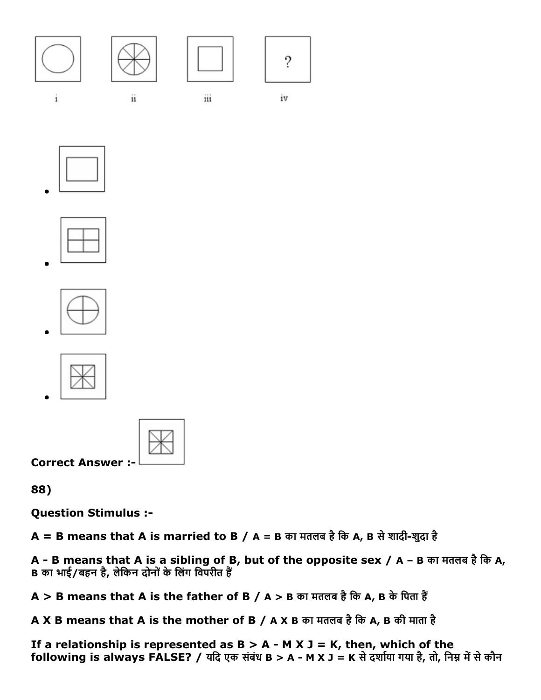

 $\mathbf{i}$ 



ii



iii



iv











Correct Answer :

88)

Question Stimulus :

 $A = B$  means that A is married to B / A = B का मतलब है कि A, B से शादी-शुदा है

A - B means that A is a sibling of B, but of the opposite sex / A - B का मतलब है कि A, B का भाई/बहन है, लेकिन दोनों के लिंग विपरीत हैं

 $A > B$  means that A is the father of B / A > B का मतलब है कि A, B के पिता हैं

A X B means that A is the mother of B / A X B का मतलब है कि A, B की माता है

If a relationship is represented as  $B > A - M X J = K$ , then, which of the following is always FALSE? / यदि एक संबंध B > A - M X J = K से दर्शाया गया है, तो, निम्न में से कौन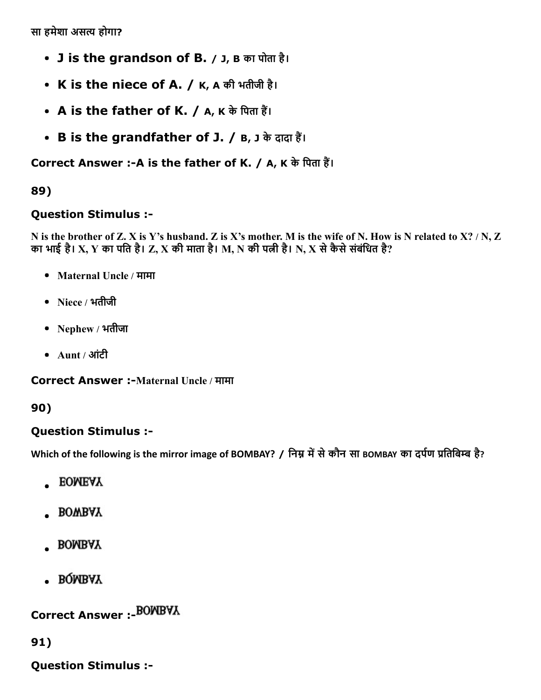सा हमेशा असत्य होगा?

- J is the grandson of B. / J, B का पोता है।
- K is the niece of A. / K, A की भतीजी है।
- A is the father of K. / A, K के पिता हैं।
- B is the grandfather of J. / B, J के दादा हैं।

# Correct Answer :- A is the father of K. / A, K के पिता हैं।

# 89)

## Question Stimulus :

N is the brother of Z. X is Y's husband. Z is X's mother. M is the wife of N. How is N related to X? / N, Z का भाई है। X, Y का पति है। Z, X की माता है। M, N की पत्नी है। N, X से कैसे संबंधित है?

- Maternal Uncle / मामा
- Niece / भतीजी
- Nephew / भतीजा
- Aunt / आंटी

Correct Answer :-Maternal Uncle / मामा

#### 90)

#### Question Stimulus :

Which of the following is the mirror image of BOMBAY? / निम्न में से कौन सा BOMBAY का दर्पण प्रतिबिम्ब है?

- **EOMEAY**
- **BOWBAY**
- **BOMBAY**
- BQMBAY

Correct Answer :

91)

Question Stimulus :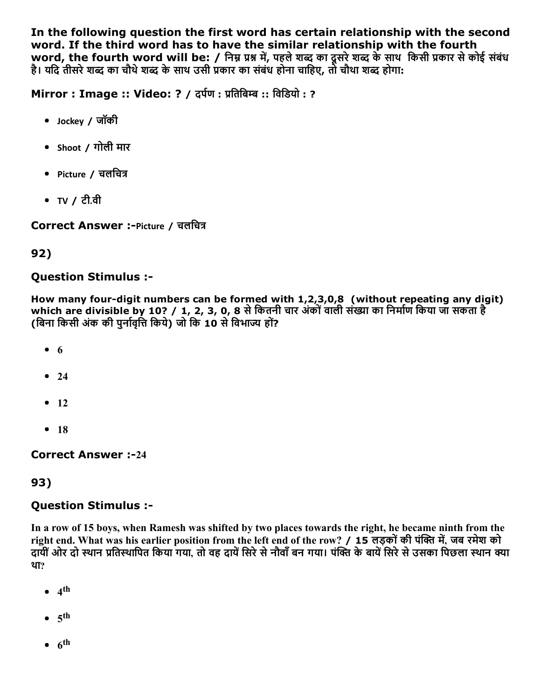In the following question the first word has certain relationship with the second word. If the third word has to have the similar relationship with the fourth word, the fourth word will be: / निम्न प्रश्न में, पहले शब्द का दूसरे शब्द के साथ किसी प्रकार से कोई संबंध है। यदि तीसरे शब्द का चौथे शब्द के साथ उसी प्रकार का संबंध होना चाहिए, तो चौथा शब्द होगा:

Mirror : Image :: Video: ? / दर्पण : प्रतिबिम्ब :: विडियो : ?

- Jockey / जॉकी
- Shoot / गोली मार
- Picture / चलचित्र
- TV / टी.वी

Correct Answer :-Picture / चलचित्र

# 92)

# Question Stimulus :

How many four-digit numbers can be formed with  $1,2,3,0,8$  (without repeating any digit) which are divisible by 10? / 1, 2, 3, 0, 8 से कितनी चार अंकों वाली संख्या का निर्माण किया जा सकता है (बिना किसी अंक की पुर्नावृत्ति किये) जो कि 10 से विभाज्य हों?

- $6$
- $24$
- $-12$
- $18$

**Correct Answer :-24** 

# 93)

# Question Stimulus :

In a row of 15 boys, when Ramesh was shifted by two places towards the right, he became ninth from the right end. What was his earlier position from the left end of the row? / 15 लड़कों की पंक्ति में, जब रमेश को दायीं ओर दो स्थान प्रतिस्थापित किया गया. तो वह दायें सिरे से नौवाँ बन गया। पंक्ति के बायें सिरे से उसका पिछला स्थान क्या था?

- 4 th
- $5^{\text{th}}$
- $6^{\text{th}}$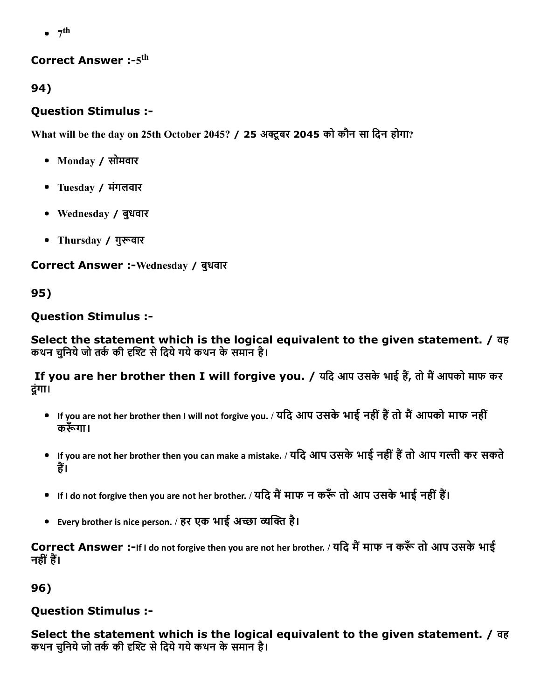$7<sup>th</sup>$ 

## Correct Answer :- $5^{\rm th}$

94)

# Question Stimulus :

What will be the day on 25th October 2045? / 25 अक्टूबर 2045 को कौन सा दिन होगा?

- Monday / सोमवार
- Tuesday / मंगलवार
- Wednesday / बुधवार
- Thursday / गुरूवार

Correct Answer :-Wednesday / बुधवार

95)

# Question Stimulus :

Select the statement which is the logical equivalent to the given statement. / वह कथन चुनिये जो तर्क की दृश्टि से दिये गये कथन के समान है।

If you are her brother then I will forgive you. / यदि आप उसके भाई हैं, तो मैं आपको माफ कर दूंगा।

- If you are not her brother then I will not forgive you. / यदि आप उसके भाई नहीं हैं तो मैं आपको माफ नहीं करूँगा।
- If you are not her brother then you can make a mistake. / यदि आप उसके भाई नहीं हैं तो आप गल्ती कर सकते हैं।
- If I do not forgive then you are not her brother. / यदि मैं माफ न करूँ तो आप उसके भाई नहीं हैं।
- Every brother is nice person. / हर एक भाई अच्छा व्यक्ति है।

Correct Answer :-If I do not forgive then you are not her brother. / यदि मैं माफ न करूँ तो आप उसके भाई नहीं हैं।

96)

# Question Stimulus :

Select the statement which is the logical equivalent to the given statement. / वह कथन चनिये जो तर्क की दृश्टि से दिये गये कथन के समान है।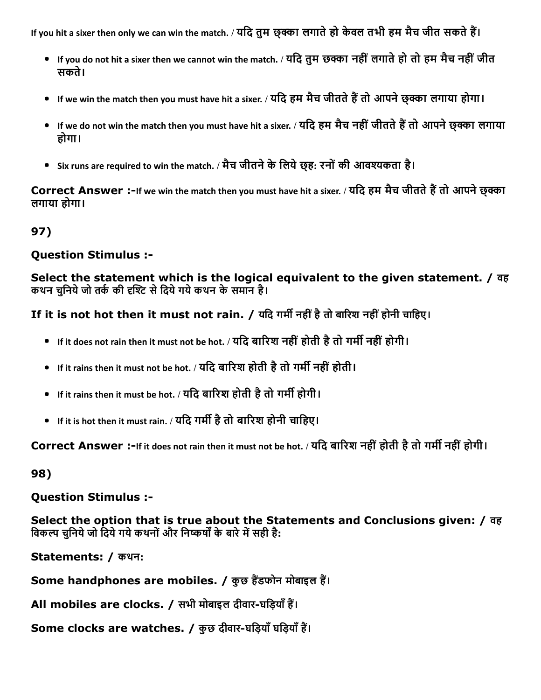If you hit a sixer then only we can win the match. / यदि तुम छुक्का लगाते हो केवल तभी हम मैच जीत सकते हैं।

- If you do not hit a sixer then we cannot win the match. / यदि तुम छक्का नहीं लगाते हो तो हम मैच नहीं जीत सकते।
- If we win the match then you must have hit a sixer. / यदि हम मैच जीतते हैं तो आपने छक्का लगाया होगा।
- If we do not win the match then you must have hit a sixer. / यदि हम मैच नहीं जीतते हैं तो आपने छुक्का लगाया होगा।
- Six runs are required to win the match. / मैच जीतने के लिये छह: रनों की आवश्यकता है।

Correct Answer :-If we win the match then you must have hit a sixer. / यदि हम मैच जीतते हैं तो आपने छक्का लगाया होगा।

97)

## Question Stimulus :

Select the statement which is the logical equivalent to the given statement. / वह कथन चुनिये जो तर्क की दृश्टि से दिये गये कथन के समान है।

If it is not hot then it must not rain. / यदि गर्मी नहीं है तो बारिश नहीं होनी चाहिए।

- $\bullet$  If it does not rain then it must not be hot. / यदि बारिश नहीं होती है तो गर्मी नहीं होगी।
- If it rains then it must not be hot. / यदि बारिश होती है तो गर्मी नहीं होती ।
- $\bullet$  If it rains then it must be hot. / यदि बारिश होती है तो गर्मी होगी।
- If it is hot then it must rain. / यदि गर्मी है तो बारिश होनी चाहिए।

Correct Answer :-If it does not rain then it must not be hot. / यदि बारिश नहीं होती है तो गर्मी नहीं होगी।

98)

Question Stimulus :

Select the option that is true about the Statements and Conclusions given: / वह विकल्प चुनिये जो दिये गये कथनों और निष्कर्षों के बारे में सही है:

Statements: / कथन:

Some handphones are mobiles. / कुछ हैंडफोन मोबाइल हैं।

All mobiles are clocks. / सभी मोबाइल दीवार-घड़ियाँ हैं।

Some clocks are watches. / कुछ दीवार-घड़ियाँ घड़ियाँ हैं।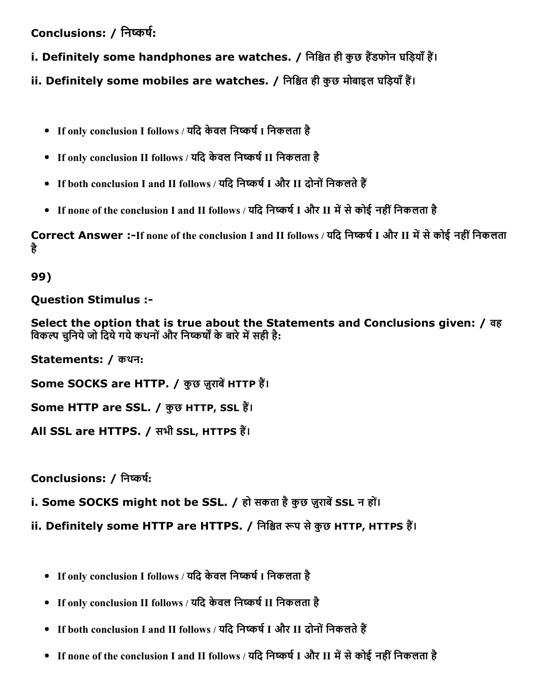Conclusions: / निष्कर्ष:

i. Definitely some handphones are watches. / निश्चित ही कुछ हैंडफोन घड़ियाँ हैं।

ii. Definitely some mobiles are watches. / निश्चित ही कुछ मोबाइल घड़ियाँ हैं।

- If only conclusion I follows / यदि केवल निष्कर्ष I निकलता है
- If only conclusion II follows / यदि केवल निष्कर्ष II निकलता है
- If both conclusion I and II follows / यदि निष्कर्ष I और II दोनों निकलते हैं
- If none of the conclusion I and II follows / यदि निष्कर्ष I और II में से कोई नहीं निकलता है

Correct Answer :-If none of the conclusion I and II follows / यदि निष्कर्ष I और II में से कोई नहीं निकलता है

99)

Question Stimulus :

Select the option that is true about the Statements and Conclusions given: / वह विकल्प चुनिये जो दिये गये कथनों और निष्कर्षों के बारे में सही है:

Statements: / कथन:

Some SOCKS are HTTP. / कुछ ज़ूराबें HTTP हैं।

Some HTTP are SSL. / कुछ HTTP, SSL हैं।

All SSL are HTTPS. / सभी SSL, HTTPS हैं।

Conclusions: / निष्कर्ष:

i. Some SOCKS might not be SSL. / हो सकता है कुछ ज़ुराबें SSL न हों।

ii. Definitely some HTTP are HTTPS. / निश्चित रूप से कुछ HTTP, HTTPS हैं।

- If only conclusion I follows / यदि केवल निष्कर्ष I निकलता है
- If only conclusion II follows / यदि केवल निष्कर्ष II निकलता है
- If both conclusion I and II follows / यदि निष्कर्ष I और II दोनों निकलते हैं
- If none of the conclusion I and II follows / यदि निष्कर्ष I और II में से कोई नहीं निकलता है